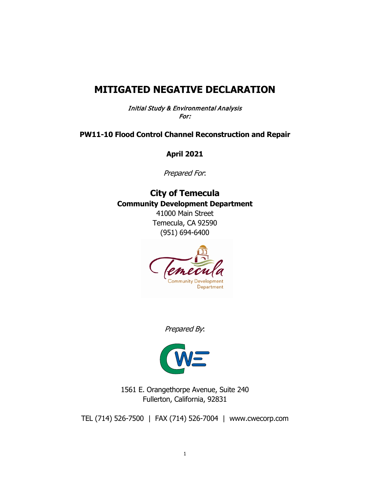# **MITIGATED NEGATIVE DECLARATION**

Initial Study & Environmental Analysis For:

**PW11-10 Flood Control Channel Reconstruction and Repair**

**April 2021**

Prepared For:

# **City of Temecula Community Development Department**

41000 Main Street Temecula, CA 92590 (951) 694-6400



Prepared By:



1561 E. Orangethorpe Avenue, Suite 240 Fullerton, California, 92831

TEL (714) 526-7500 | FAX (714) 526-7004 | www.cwecorp.com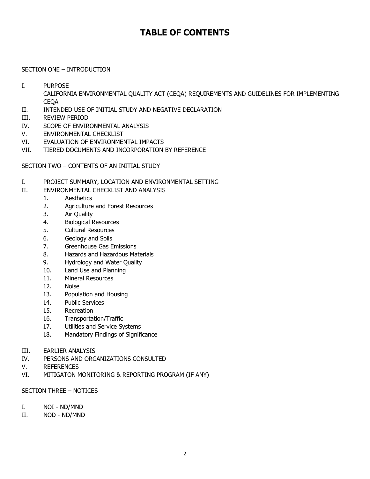# **TABLE OF CONTENTS**

#### SECTION ONE – INTRODUCTION

- I. PURPOSE CALIFORNIA ENVIRONMENTAL QUALITY ACT (CEQA) REQUIREMENTS AND GUIDELINES FOR IMPLEMENTING **CEOA**
- II. INTENDED USE OF INITIAL STUDY AND NEGATIVE DECLARATION
- III. REVIEW PERIOD
- IV. SCOPE OF ENVIRONMENTAL ANALYSIS<br>V. ENVIRONMENTAL CHECKLIST
- ENVIRONMENTAL CHECKLIST
- VI. EVALUATION OF ENVIRONMENTAL IMPACTS<br>VII. TIERED DOCUMENTS AND INCORPORATION
- TIERED DOCUMENTS AND INCORPORATION BY REFERENCE

SECTION TWO – CONTENTS OF AN INITIAL STUDY

- I. PROJECT SUMMARY, LOCATION AND ENVIRONMENTAL SETTING
- II. ENVIRONMENTAL CHECKLIST AND ANALYSIS
	- 1. Aesthetics
	- 2. Agriculture and Forest Resources
	- 3. Air Quality
	- 4. Biological Resources
	- 5. Cultural Resources
	- 6. Geology and Soils
	- 7. Greenhouse Gas Emissions
	- 8. Hazards and Hazardous Materials
	- 9. Hydrology and Water Quality
	- 10. Land Use and Planning
	- 11. Mineral Resources
	- 12. Noise
	- 13. Population and Housing
	- 14. Public Services
	- 15. Recreation
	- 16. Transportation/Traffic
	- 17. Utilities and Service Systems
	- 18. Mandatory Findings of Significance
- III. EARLIER ANALYSIS
- IV. PERSONS AND ORGANIZATIONS CONSULTED
- V. REFERENCES
- VI. MITIGATON MONITORING & REPORTING PROGRAM (IF ANY)

SECTION THREE – NOTICES

- I. NOI ND/MND
- II. NOD ND/MND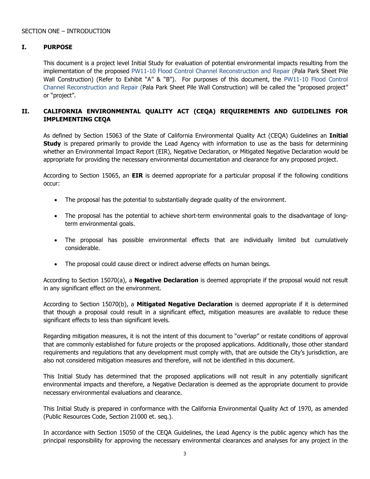#### SECTION ONE – INTRODUCTION

#### **I. PURPOSE**

This document is a project level Initial Study for evaluation of potential environmental impacts resulting from the implementation of the proposed PW11-10 Flood Control Channel Reconstruction and Repair (Pala Park Sheet Pile Wall Construction) (Refer to Exhibit "A" & "B"). For purposes of this document, the PW11-10 Flood Control Channel Reconstruction and Repair (Pala Park Sheet Pile Wall Construction) will be called the "proposed project" or "project".

#### **II. CALIFORNIA ENVIRONMENTAL QUALITY ACT (CEQA) REQUIREMENTS AND GUIDELINES FOR IMPLEMENTING CEQA**

As defined by Section 15063 of the State of California Environmental Quality Act (CEQA) Guidelines an **Initial Study** is prepared primarily to provide the Lead Agency with information to use as the basis for determining whether an Environmental Impact Report (EIR), Negative Declaration, or Mitigated Negative Declaration would be appropriate for providing the necessary environmental documentation and clearance for any proposed project.

According to Section 15065, an **EIR** is deemed appropriate for a particular proposal if the following conditions occur:

- The proposal has the potential to substantially degrade quality of the environment.
- The proposal has the potential to achieve short-term environmental goals to the disadvantage of longterm environmental goals.
- The proposal has possible environmental effects that are individually limited but cumulatively considerable.
- The proposal could cause direct or indirect adverse effects on human beings.

According to Section 15070(a), a **Negative Declaration** is deemed appropriate if the proposal would not result in any significant effect on the environment.

According to Section 15070(b), a **Mitigated Negative Declaration** is deemed appropriate if it is determined that though a proposal could result in a significant effect, mitigation measures are available to reduce these significant effects to less than significant levels.

Regarding mitigation measures, it is not the intent of this document to "overlap" or restate conditions of approval that are commonly established for future projects or the proposed applications. Additionally, those other standard requirements and regulations that any development must comply with, that are outside the City's jurisdiction, are also not considered mitigation measures and therefore, will not be identified in this document.

This Initial Study has determined that the proposed applications will not result in any potentially significant environmental impacts and therefore, a Negative Declaration is deemed as the appropriate document to provide necessary environmental evaluations and clearance.

This Initial Study is prepared in conformance with the California Environmental Quality Act of 1970, as amended (Public Resources Code, Section 21000 et. seq.).

In accordance with Section 15050 of the CEQA Guidelines, the Lead Agency is the public agency which has the principal responsibility for approving the necessary environmental clearances and analyses for any project in the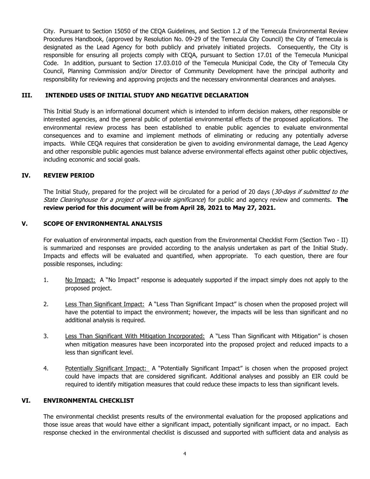City. Pursuant to Section 15050 of the CEQA Guidelines, and Section 1.2 of the Temecula Environmental Review Procedures Handbook, (approved by Resolution No. 09-29 of the Temecula City Council) the City of Temecula is designated as the Lead Agency for both publicly and privately initiated projects. Consequently, the City is responsible for ensuring all projects comply with CEQA, pursuant to Section 17.01 of the Temecula Municipal Code. In addition, pursuant to Section 17.03.010 of the Temecula Municipal Code, the City of Temecula City Council, Planning Commission and/or Director of Community Development have the principal authority and responsibility for reviewing and approving projects and the necessary environmental clearances and analyses.

#### **III. INTENDED USES OF INITIAL STUDY AND NEGATIVE DECLARATION**

This Initial Study is an informational document which is intended to inform decision makers, other responsible or interested agencies, and the general public of potential environmental effects of the proposed applications. The environmental review process has been established to enable public agencies to evaluate environmental consequences and to examine and implement methods of eliminating or reducing any potentially adverse impacts. While CEQA requires that consideration be given to avoiding environmental damage, the Lead Agency and other responsible public agencies must balance adverse environmental effects against other public objectives, including economic and social goals.

#### **IV. REVIEW PERIOD**

The Initial Study, prepared for the project will be circulated for a period of 20 days (30-days if submitted to the State Clearinghouse for a project of area-wide significance) for public and agency review and comments. **The review period for this document will be from April 28, 2021 to May 27, 2021.**

#### **V. SCOPE OF ENVIRONMENTAL ANALYSIS**

For evaluation of environmental impacts, each question from the Environmental Checklist Form (Section Two - II) is summarized and responses are provided according to the analysis undertaken as part of the Initial Study. Impacts and effects will be evaluated and quantified, when appropriate. To each question, there are four possible responses, including:

- 1. No Impact: A "No Impact" response is adequately supported if the impact simply does not apply to the proposed project.
- 2. Less Than Significant Impact: A "Less Than Significant Impact" is chosen when the proposed project will have the potential to impact the environment; however, the impacts will be less than significant and no additional analysis is required.
- 3. Less Than Significant With Mitigation Incorporated: A "Less Than Significant with Mitigation" is chosen when mitigation measures have been incorporated into the proposed project and reduced impacts to a less than significant level.
- 4. Potentially Significant Impact: A "Potentially Significant Impact" is chosen when the proposed project could have impacts that are considered significant. Additional analyses and possibly an EIR could be required to identify mitigation measures that could reduce these impacts to less than significant levels.

#### **VI. ENVIRONMENTAL CHECKLIST**

The environmental checklist presents results of the environmental evaluation for the proposed applications and those issue areas that would have either a significant impact, potentially significant impact, or no impact. Each response checked in the environmental checklist is discussed and supported with sufficient data and analysis as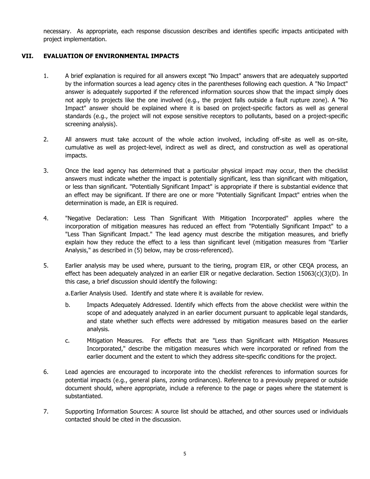necessary. As appropriate, each response discussion describes and identifies specific impacts anticipated with project implementation.

#### **VII. EVALUATION OF ENVIRONMENTAL IMPACTS**

- 1. A brief explanation is required for all answers except "No Impact" answers that are adequately supported by the information sources a lead agency cites in the parentheses following each question. A "No Impact" answer is adequately supported if the referenced information sources show that the impact simply does not apply to projects like the one involved (e.g., the project falls outside a fault rupture zone). A "No Impact" answer should be explained where it is based on project-specific factors as well as general standards (e.g., the project will not expose sensitive receptors to pollutants, based on a project-specific screening analysis).
- 2. All answers must take account of the whole action involved, including off-site as well as on-site, cumulative as well as project-level, indirect as well as direct, and construction as well as operational impacts.
- 3. Once the lead agency has determined that a particular physical impact may occur, then the checklist answers must indicate whether the impact is potentially significant, less than significant with mitigation, or less than significant. "Potentially Significant Impact" is appropriate if there is substantial evidence that an effect may be significant. If there are one or more "Potentially Significant Impact" entries when the determination is made, an EIR is required.
- 4. "Negative Declaration: Less Than Significant With Mitigation Incorporated" applies where the incorporation of mitigation measures has reduced an effect from "Potentially Significant Impact" to a "Less Than Significant Impact." The lead agency must describe the mitigation measures, and briefly explain how they reduce the effect to a less than significant level (mitigation measures from "Earlier Analysis," as described in (5) below, may be cross-referenced).
- 5. Earlier analysis may be used where, pursuant to the tiering, program EIR, or other CEQA process, an effect has been adequately analyzed in an earlier EIR or negative declaration. Section 15063(c)(3)(D). In this case, a brief discussion should identify the following:

a.Earlier Analysis Used. Identify and state where it is available for review.

- b. Impacts Adequately Addressed. Identify which effects from the above checklist were within the scope of and adequately analyzed in an earlier document pursuant to applicable legal standards, and state whether such effects were addressed by mitigation measures based on the earlier analysis.
- c. Mitigation Measures. For effects that are "Less than Significant with Mitigation Measures Incorporated," describe the mitigation measures which were incorporated or refined from the earlier document and the extent to which they address site-specific conditions for the project.
- 6. Lead agencies are encouraged to incorporate into the checklist references to information sources for potential impacts (e.g., general plans, zoning ordinances). Reference to a previously prepared or outside document should, where appropriate, include a reference to the page or pages where the statement is substantiated.
- 7. Supporting Information Sources: A source list should be attached, and other sources used or individuals contacted should be cited in the discussion.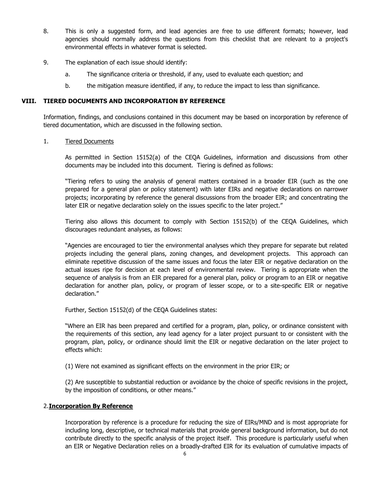- 8. This is only a suggested form, and lead agencies are free to use different formats; however, lead agencies should normally address the questions from this checklist that are relevant to a project's environmental effects in whatever format is selected.
- 9. The explanation of each issue should identify:
	- a. The significance criteria or threshold, if any, used to evaluate each question; and
	- b. the mitigation measure identified, if any, to reduce the impact to less than significance.

#### **VIII. TIERED DOCUMENTS AND INCORPORATION BY REFERENCE**

Information, findings, and conclusions contained in this document may be based on incorporation by reference of tiered documentation, which are discussed in the following section.

1. Tiered Documents

As permitted in Section 15152(a) of the CEQA Guidelines, information and discussions from other documents may be included into this document. Tiering is defined as follows:

"Tiering refers to using the analysis of general matters contained in a broader EIR (such as the one prepared for a general plan or policy statement) with later EIRs and negative declarations on narrower projects; incorporating by reference the general discussions from the broader EIR; and concentrating the later EIR or negative declaration solely on the issues specific to the later project."

Tiering also allows this document to comply with Section 15152(b) of the CEQA Guidelines, which discourages redundant analyses, as follows:

"Agencies are encouraged to tier the environmental analyses which they prepare for separate but related projects including the general plans, zoning changes, and development projects. This approach can eliminate repetitive discussion of the same issues and focus the later EIR or negative declaration on the actual issues ripe for decision at each level of environmental review. Tiering is appropriate when the sequence of analysis is from an EIR prepared for a general plan, policy or program to an EIR or negative declaration for another plan, policy, or program of lesser scope, or to a site-specific EIR or negative declaration."

Further, Section 15152(d) of the CEQA Guidelines states:

"Where an EIR has been prepared and certified for a program, plan, policy, or ordinance consistent with the requirements of this section, any lead agency for a later project pursuant to or consistent with the program, plan, policy, or ordinance should limit the EIR or negative declaration on the later project to effects which:

(1) Were not examined as significant effects on the environment in the prior EIR; or

(2) Are susceptible to substantial reduction or avoidance by the choice of specific revisions in the project, by the imposition of conditions, or other means."

#### 2.**Incorporation By Reference**

Incorporation by reference is a procedure for reducing the size of EIRs/MND and is most appropriate for including long, descriptive, or technical materials that provide general background information, but do not contribute directly to the specific analysis of the project itself. This procedure is particularly useful when an EIR or Negative Declaration relies on a broadly-drafted EIR for its evaluation of cumulative impacts of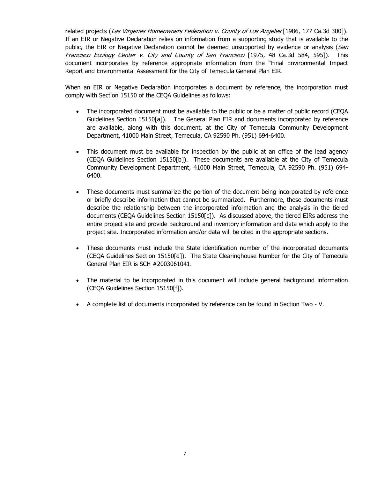related projects (Las Virgenes Homeowners Federation v. County of Los Angeles [1986, 177 Ca.3d 300]). If an EIR or Negative Declaration relies on information from a supporting study that is available to the public, the EIR or Negative Declaration cannot be deemed unsupported by evidence or analysis (San Francisco Ecology Center v. City and County of San Francisco [1975, 48 Ca.3d 584, 595]). This document incorporates by reference appropriate information from the "Final Environmental Impact Report and Environmental Assessment for the City of Temecula General Plan EIR.

When an EIR or Negative Declaration incorporates a document by reference, the incorporation must comply with Section 15150 of the CEQA Guidelines as follows:

- The incorporated document must be available to the public or be a matter of public record (CEOA Guidelines Section 15150[a]). The General Plan EIR and documents incorporated by reference are available, along with this document, at the City of Temecula Community Development Department, 41000 Main Street, Temecula, CA 92590 Ph. (951) 694-6400.
- This document must be available for inspection by the public at an office of the lead agency (CEQA Guidelines Section 15150[b]). These documents are available at the City of Temecula Community Development Department, 41000 Main Street, Temecula, CA 92590 Ph. (951) 694- 6400.
- These documents must summarize the portion of the document being incorporated by reference or briefly describe information that cannot be summarized. Furthermore, these documents must describe the relationship between the incorporated information and the analysis in the tiered documents (CEQA Guidelines Section 15150[c]). As discussed above, the tiered EIRs address the entire project site and provide background and inventory information and data which apply to the project site. Incorporated information and/or data will be cited in the appropriate sections.
- These documents must include the State identification number of the incorporated documents (CEQA Guidelines Section 15150[d]). The State Clearinghouse Number for the City of Temecula General Plan EIR is SCH #2003061041.
- The material to be incorporated in this document will include general background information (CEQA Guidelines Section 15150[f]).
- A complete list of documents incorporated by reference can be found in Section Two V.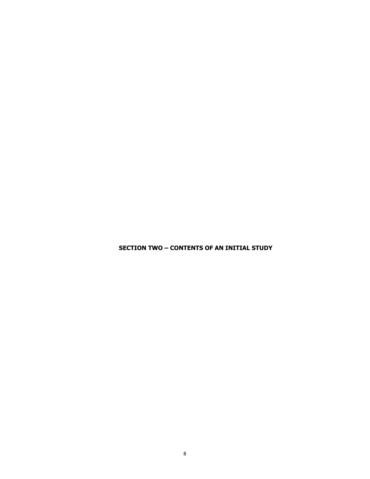**SECTION TWO – CONTENTS OF AN INITIAL STUDY**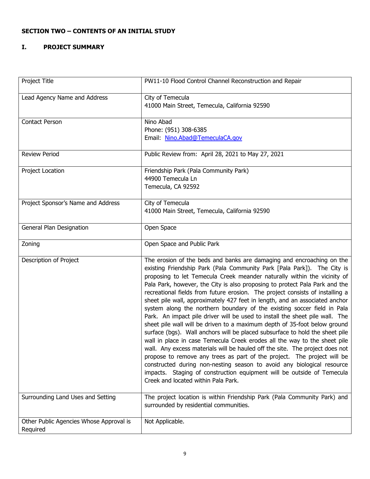# **SECTION TWO – CONTENTS OF AN INITIAL STUDY**

### **I. PROJECT SUMMARY**

| Project Title                                       | PW11-10 Flood Control Channel Reconstruction and Repair                                                                                                                                                                                                                                                                                                                                                                                                                                                                                                                                                                                                                                                                                                                                                                                                                                                                                                                                                                                                                                                                                                                                                                                |
|-----------------------------------------------------|----------------------------------------------------------------------------------------------------------------------------------------------------------------------------------------------------------------------------------------------------------------------------------------------------------------------------------------------------------------------------------------------------------------------------------------------------------------------------------------------------------------------------------------------------------------------------------------------------------------------------------------------------------------------------------------------------------------------------------------------------------------------------------------------------------------------------------------------------------------------------------------------------------------------------------------------------------------------------------------------------------------------------------------------------------------------------------------------------------------------------------------------------------------------------------------------------------------------------------------|
| Lead Agency Name and Address                        | City of Temecula<br>41000 Main Street, Temecula, California 92590                                                                                                                                                                                                                                                                                                                                                                                                                                                                                                                                                                                                                                                                                                                                                                                                                                                                                                                                                                                                                                                                                                                                                                      |
| Contact Person                                      | Nino Abad<br>Phone: (951) 308-6385<br>Email: Nino.Abad@TemeculaCA.gov                                                                                                                                                                                                                                                                                                                                                                                                                                                                                                                                                                                                                                                                                                                                                                                                                                                                                                                                                                                                                                                                                                                                                                  |
| <b>Review Period</b>                                | Public Review from: April 28, 2021 to May 27, 2021                                                                                                                                                                                                                                                                                                                                                                                                                                                                                                                                                                                                                                                                                                                                                                                                                                                                                                                                                                                                                                                                                                                                                                                     |
| Project Location                                    | Friendship Park (Pala Community Park)<br>44900 Temecula Ln<br>Temecula, CA 92592                                                                                                                                                                                                                                                                                                                                                                                                                                                                                                                                                                                                                                                                                                                                                                                                                                                                                                                                                                                                                                                                                                                                                       |
| Project Sponsor's Name and Address                  | City of Temecula<br>41000 Main Street, Temecula, California 92590                                                                                                                                                                                                                                                                                                                                                                                                                                                                                                                                                                                                                                                                                                                                                                                                                                                                                                                                                                                                                                                                                                                                                                      |
| General Plan Designation                            | Open Space                                                                                                                                                                                                                                                                                                                                                                                                                                                                                                                                                                                                                                                                                                                                                                                                                                                                                                                                                                                                                                                                                                                                                                                                                             |
| Zoning                                              | Open Space and Public Park                                                                                                                                                                                                                                                                                                                                                                                                                                                                                                                                                                                                                                                                                                                                                                                                                                                                                                                                                                                                                                                                                                                                                                                                             |
| Description of Project                              | The erosion of the beds and banks are damaging and encroaching on the<br>existing Friendship Park (Pala Community Park [Pala Park]). The City is<br>proposing to let Temecula Creek meander naturally within the vicinity of<br>Pala Park, however, the City is also proposing to protect Pala Park and the<br>recreational fields from future erosion. The project consists of installing a<br>sheet pile wall, approximately 427 feet in length, and an associated anchor<br>system along the northern boundary of the existing soccer field in Pala<br>Park. An impact pile driver will be used to install the sheet pile wall. The<br>sheet pile wall will be driven to a maximum depth of 35-foot below ground<br>surface (bgs). Wall anchors will be placed subsurface to hold the sheet pile<br>wall in place in case Temecula Creek erodes all the way to the sheet pile<br>wall. Any excess materials will be hauled off the site. The project does not<br>propose to remove any trees as part of the project. The project will be<br>constructed during non-nesting season to avoid any biological resource<br>impacts. Staging of construction equipment will be outside of Temecula<br>Creek and located within Pala Park. |
| Surrounding Land Uses and Setting                   | The project location is within Friendship Park (Pala Community Park) and<br>surrounded by residential communities.                                                                                                                                                                                                                                                                                                                                                                                                                                                                                                                                                                                                                                                                                                                                                                                                                                                                                                                                                                                                                                                                                                                     |
| Other Public Agencies Whose Approval is<br>Required | Not Applicable.                                                                                                                                                                                                                                                                                                                                                                                                                                                                                                                                                                                                                                                                                                                                                                                                                                                                                                                                                                                                                                                                                                                                                                                                                        |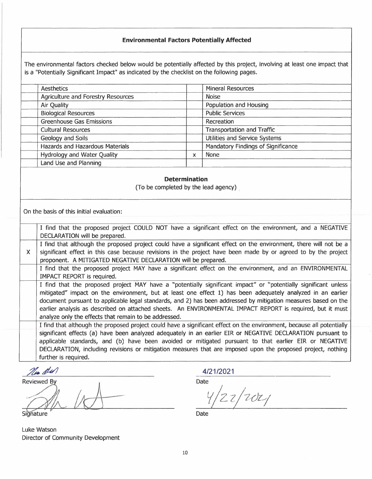#### **Environmental Factors Potentially Affected**

The environmental factors checked below would be potentially affected by this project, involving at least one impact that is a "Potentially Significant Impact" as indicated by the checklist on the following pages.

| <b>Aesthetics</b>                         |                           | <b>Mineral Resources</b>           |
|-------------------------------------------|---------------------------|------------------------------------|
| <b>Agriculture and Forestry Resources</b> |                           | <b>Noise</b>                       |
| <b>Air Quality</b>                        |                           | Population and Housing             |
| <b>Biological Resources</b>               |                           | <b>Public Services</b>             |
| <b>Greenhouse Gas Emissions</b>           |                           | Recreation                         |
| <b>Cultural Resources</b>                 |                           | <b>Transportation and Traffic</b>  |
| Geology and Soils                         |                           | Utilities and Service Systems      |
| Hazards and Hazardous Materials           |                           | Mandatory Findings of Significance |
| <b>Hydrology and Water Quality</b>        | $\boldsymbol{\mathsf{x}}$ | None                               |
| Land Use and Planning                     |                           |                                    |

#### **Determination**

(To be completed by the lead agency)

On the basis of this initial evaluation:

I find that the proposed project COULD NOT have a significant effect on the environment, and a NEGATIVE DECLARATION will be prepared.

I find that although the proposed project could have a significant effect on the environment, there will not be a **<sup>X</sup>**significant effect in this case because revisions in the project have been made by or agreed to by the project proponent. A MITIGATED NEGATIVE DECLARATION will be prepared.

I find that the proposed project MAY have a significant effect on the environment, and an ENVIRONMENTAL IMPACT REPORT is required.

I find that the proposed project MAY have a "potentially significant impact" or "potentially significant unless mitigated" impact on the environment, but at least one effect 1) has been adequately analyzed in an earlier document pursuant to applicable legal standards, and 2) has been addressed by mitigation measures based on the earlier analysis as described on attached sheets. An ENVIRONMENTAL IMPACT REPORT is required, but it must analyze only the effects that remain to be addressed.

I find that although the proposed project could have a significant effect on the environment, because all potentially significant effects (a) have been analyzed adequately in an earlier EIR or NEGATIVE DECLARATION pursuant to applicable standards, and (b) have been avoided or mitigated pursuant to that earlier EIR or NEGATIVE DECLARATION, including revisions or mitigation measures that are imposed upon the proposed project, nothing further is required.

New del

**Reviewed By** 

**Signature** 

Luke Watson Director of Community Development

4/21/2021

Date

v/z *z/-z,()z\_,;* 

Date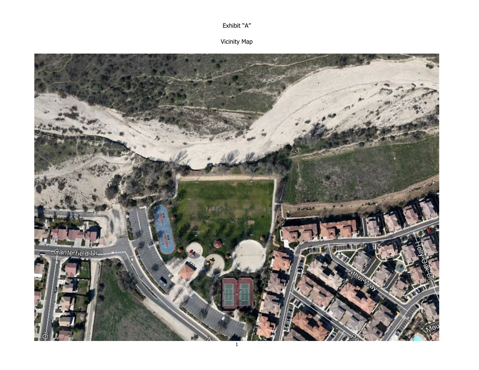Exhibit "A"

Vicinity Map

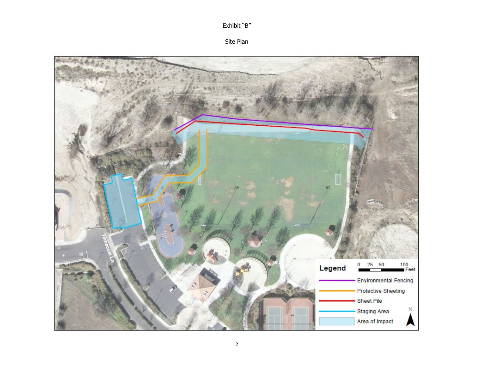Exhibit "B"

Site Plan

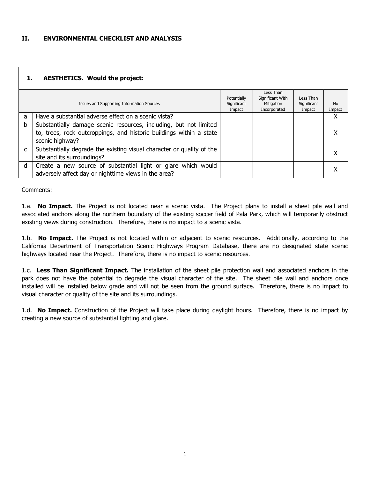| -1. |  | <b>AESTHETICS.</b> Would the project: |  |
|-----|--|---------------------------------------|--|
|-----|--|---------------------------------------|--|

|   | Issues and Supporting Information Sources                             | Potentially<br>Significant<br>Impact | Less Than<br>Significant With<br>Mitigation<br>Incorporated | Less Than<br>Significant<br>Impact | <b>No</b><br>Impact |
|---|-----------------------------------------------------------------------|--------------------------------------|-------------------------------------------------------------|------------------------------------|---------------------|
| a | Have a substantial adverse effect on a scenic vista?                  |                                      |                                                             |                                    | χ                   |
| b | Substantially damage scenic resources, including, but not limited     |                                      |                                                             |                                    |                     |
|   | to, trees, rock outcroppings, and historic buildings within a state   |                                      |                                                             |                                    | X                   |
|   | scenic highway?                                                       |                                      |                                                             |                                    |                     |
|   | Substantially degrade the existing visual character or quality of the |                                      |                                                             |                                    | х                   |
|   | site and its surroundings?                                            |                                      |                                                             |                                    |                     |
| d | Create a new source of substantial light or glare which would         |                                      |                                                             |                                    |                     |
|   | adversely affect day or nighttime views in the area?                  |                                      |                                                             |                                    |                     |

Comments:

1.a. **No Impact.** The Project is not located near a scenic vista. The Project plans to install a sheet pile wall and associated anchors along the northern boundary of the existing soccer field of Pala Park, which will temporarily obstruct existing views during construction. Therefore, there is no impact to a scenic vista.

1.b. **No Impact.** The Project is not located within or adjacent to scenic resources. Additionally, according to the California Department of Transportation Scenic Highways Program Database, there are no designated state scenic highways located near the Project. Therefore, there is no impact to scenic resources.

1.c. **Less Than Significant Impact.** The installation of the sheet pile protection wall and associated anchors in the park does not have the potential to degrade the visual character of the site. The sheet pile wall and anchors once installed will be installed below grade and will not be seen from the ground surface. Therefore, there is no impact to visual character or quality of the site and its surroundings.

1.d. **No Impact.** Construction of the Project will take place during daylight hours. Therefore, there is no impact by creating a new source of substantial lighting and glare.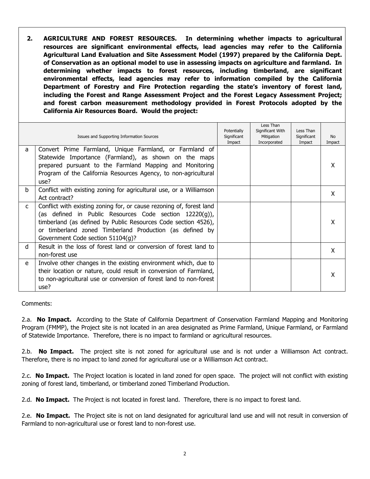**2. AGRICULTURE AND FOREST RESOURCES. In determining whether impacts to agricultural resources are significant environmental effects, lead agencies may refer to the California Agricultural Land Evaluation and Site Assessment Model (1997) prepared by the California Dept. of Conservation as an optional model to use in assessing impacts on agriculture and farmland. In determining whether impacts to forest resources, including timberland, are significant environmental effects, lead agencies may refer to information compiled by the California Department of Forestry and Fire Protection regarding the state's inventory of forest land, including the Forest and Range Assessment Project and the Forest Legacy Assessment Project; and forest carbon measurement methodology provided in Forest Protocols adopted by the California Air Resources Board. Would the project:**

|              | Issues and Supporting Information Sources                                                                                                                                                                                                                                                          | Potentially<br>Significant<br>Impact | Less Than<br>Significant With<br>Mitigation<br>Incorporated | Less Than<br>Significant<br>Impact | <b>No</b><br>Impact |
|--------------|----------------------------------------------------------------------------------------------------------------------------------------------------------------------------------------------------------------------------------------------------------------------------------------------------|--------------------------------------|-------------------------------------------------------------|------------------------------------|---------------------|
| a            | Convert Prime Farmland, Unique Farmland, or Farmland of<br>Statewide Importance (Farmland), as shown on the maps<br>prepared pursuant to the Farmland Mapping and Monitoring<br>Program of the California Resources Agency, to non-agricultural<br>use?                                            |                                      |                                                             |                                    |                     |
| b            | Conflict with existing zoning for agricultural use, or a Williamson<br>Act contract?                                                                                                                                                                                                               |                                      |                                                             |                                    |                     |
| C            | Conflict with existing zoning for, or cause rezoning of, forest land<br>(as defined in Public Resources Code section 12220(g)),<br>timberland (as defined by Public Resources Code section 4526),<br>or timberland zoned Timberland Production (as defined by<br>Government Code section 51104(g)? |                                      |                                                             |                                    |                     |
| <sub>d</sub> | Result in the loss of forest land or conversion of forest land to<br>non-forest use                                                                                                                                                                                                                |                                      |                                                             |                                    | x                   |
| e            | Involve other changes in the existing environment which, due to<br>their location or nature, could result in conversion of Farmland,<br>to non-agricultural use or conversion of forest land to non-forest<br>use?                                                                                 |                                      |                                                             |                                    |                     |

Comments:

2.a. **No Impact.** According to the State of California Department of Conservation Farmland Mapping and Monitoring Program (FMMP), the Project site is not located in an area designated as Prime Farmland, Unique Farmland, or Farmland of Statewide Importance. Therefore, there is no impact to farmland or agricultural resources.

2.b. **No Impact.** The project site is not zoned for agricultural use and is not under a Williamson Act contract. Therefore, there is no impact to land zoned for agricultural use or a Williamson Act contract.

2.c. **No Impact.** The Project location is located in land zoned for open space. The project will not conflict with existing zoning of forest land, timberland, or timberland zoned Timberland Production.

2.d. **No Impact.** The Project is not located in forest land. Therefore, there is no impact to forest land.

2.e. **No Impact.** The Project site is not on land designated for agricultural land use and will not result in conversion of Farmland to non-agricultural use or forest land to non-forest use.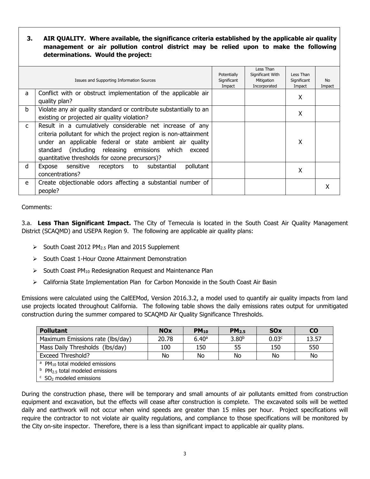### **3. AIR QUALITY. Where available, the significance criteria established by the applicable air quality management or air pollution control district may be relied upon to make the following determinations. Would the project:**

|              | Issues and Supporting Information Sources                                                                                                                                                                                                                                                                  | Potentially<br>Significant<br>Impact | Less Than<br>Significant With<br>Mitigation<br>Incorporated | Less Than<br>Significant<br>Impact | <b>No</b><br>Impact |
|--------------|------------------------------------------------------------------------------------------------------------------------------------------------------------------------------------------------------------------------------------------------------------------------------------------------------------|--------------------------------------|-------------------------------------------------------------|------------------------------------|---------------------|
| a            | Conflict with or obstruct implementation of the applicable air<br>quality plan?                                                                                                                                                                                                                            |                                      |                                                             | X                                  |                     |
| <sub>b</sub> | Violate any air quality standard or contribute substantially to an<br>existing or projected air quality violation?                                                                                                                                                                                         |                                      |                                                             | X                                  |                     |
| $\mathsf{C}$ | Result in a cumulatively considerable net increase of any<br>criteria pollutant for which the project region is non-attainment<br>under an applicable federal or state ambient air quality<br>(including releasing emissions which<br>standard<br>exceed<br>quantitative thresholds for ozone precursors)? |                                      |                                                             | χ                                  |                     |
| d            | sensitive<br>receptors<br>to substantial<br>pollutant<br>Expose<br>concentrations?                                                                                                                                                                                                                         |                                      |                                                             | Χ                                  |                     |
| e            | Create objectionable odors affecting a substantial number of<br>people?                                                                                                                                                                                                                                    |                                      |                                                             |                                    |                     |

#### Comments:

3.a. **Less Than Significant Impact.** The City of Temecula is located in the South Coast Air Quality Management District (SCAQMD) and USEPA Region 9. The following are applicable air quality plans:

- $\triangleright$  South Coast 2012 PM<sub>2.5</sub> Plan and 2015 Supplement
- South Coast 1-Hour Ozone Attainment Demonstration
- $\triangleright$  South Coast PM<sub>10</sub> Redesignation Request and Maintenance Plan
- $\triangleright$  California State Implementation Plan for Carbon Monoxide in the South Coast Air Basin

Emissions were calculated using the CalEEMod, Version 2016.3.2, a model used to quantify air quality impacts from land use projects located throughout California. The following table shows the daily emissions rates output for unmitigated construction during the summer compared to SCAQMD Air Quality Significance Thresholds.

| <b>Pollutant</b>                                      | <b>NOx</b> | $PM_{10}$ | PM <sub>2.5</sub> | <b>SO<sub>x</sub></b> | <b>CO</b> |
|-------------------------------------------------------|------------|-----------|-------------------|-----------------------|-----------|
| Maximum Emissions rate (lbs/day)                      | 20.78      | 6.40a     | 3.80 <sup>b</sup> | 0.03c                 | 13.57     |
| Mass Daily Thresholds (lbs/day)                       | 100        | 150       | 55                | 150                   | 550       |
| <b>Exceed Threshold?</b>                              | No         | No.       | No                | No                    | No        |
| <sup>a</sup> PM <sub>10</sub> total modeled emissions |            |           |                   |                       |           |
| $b$ PM <sub>2.5</sub> total modeled emissions         |            |           |                   |                       |           |
| $\epsilon$ SO <sub>2</sub> modeled emissions          |            |           |                   |                       |           |

During the construction phase, there will be temporary and small amounts of air pollutants emitted from construction equipment and excavation, but the effects will cease after construction is complete. The excavated soils will be wetted daily and earthwork will not occur when wind speeds are greater than 15 miles per hour. Project specifications will require the contractor to not violate air quality regulations, and compliance to those specifications will be monitored by the City on-site inspector. Therefore, there is a less than significant impact to applicable air quality plans.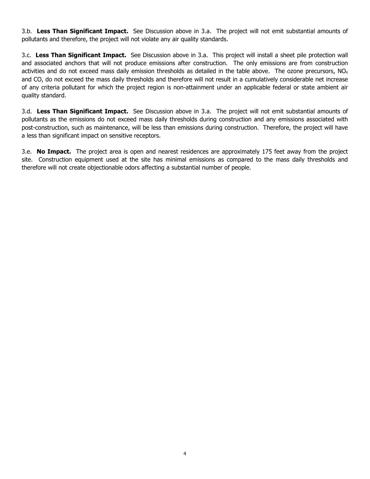3.b. **Less Than Significant Impact.** See Discussion above in 3.a. The project will not emit substantial amounts of pollutants and therefore, the project will not violate any air quality standards.

3.c. **Less Than Significant Impact.** See Discussion above in 3.a. This project will install a sheet pile protection wall and associated anchors that will not produce emissions after construction. The only emissions are from construction activities and do not exceed mass daily emission thresholds as detailed in the table above. The ozone precursors,  $NO<sub>x</sub>$ and CO, do not exceed the mass daily thresholds and therefore will not result in a cumulatively considerable net increase of any criteria pollutant for which the project region is non-attainment under an applicable federal or state ambient air quality standard.

3.d. **Less Than Significant Impact.** See Discussion above in 3.a. The project will not emit substantial amounts of pollutants as the emissions do not exceed mass daily thresholds during construction and any emissions associated with post-construction, such as maintenance, will be less than emissions during construction. Therefore, the project will have a less than significant impact on sensitive receptors.

3.e. **No Impact.** The project area is open and nearest residences are approximately 175 feet away from the project site. Construction equipment used at the site has minimal emissions as compared to the mass daily thresholds and therefore will not create objectionable odors affecting a substantial number of people.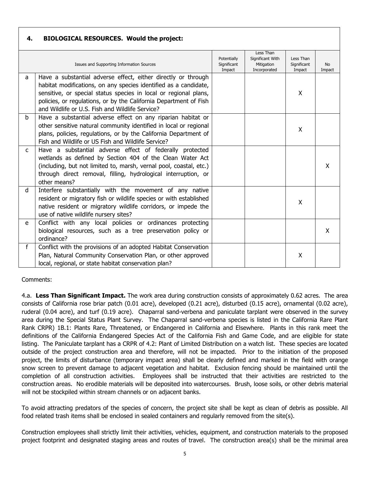### **4. BIOLOGICAL RESOURCES. Would the project:**

|              | Issues and Supporting Information Sources                          | Potentially<br>Significant<br>Impact | Less Than<br>Significant With<br>Mitigation<br>Incorporated | Less Than<br>Significant<br>Impact | <b>No</b><br>Impact |
|--------------|--------------------------------------------------------------------|--------------------------------------|-------------------------------------------------------------|------------------------------------|---------------------|
| a            | Have a substantial adverse effect, either directly or through      |                                      |                                                             |                                    |                     |
|              | habitat modifications, on any species identified as a candidate,   |                                      |                                                             |                                    |                     |
|              | sensitive, or special status species in local or regional plans,   |                                      |                                                             | X                                  |                     |
|              | policies, or regulations, or by the California Department of Fish  |                                      |                                                             |                                    |                     |
|              | and Wildlife or U.S. Fish and Wildlife Service?                    |                                      |                                                             |                                    |                     |
| b            | Have a substantial adverse effect on any riparian habitat or       |                                      |                                                             |                                    |                     |
|              | other sensitive natural community identified in local or regional  |                                      |                                                             | X                                  |                     |
|              | plans, policies, regulations, or by the California Department of   |                                      |                                                             |                                    |                     |
|              | Fish and Wildlife or US Fish and Wildlife Service?                 |                                      |                                                             |                                    |                     |
| $\mathsf{C}$ | Have a substantial adverse effect of federally protected           |                                      |                                                             |                                    |                     |
|              | wetlands as defined by Section 404 of the Clean Water Act          |                                      |                                                             |                                    |                     |
|              | (including, but not limited to, marsh, vernal pool, coastal, etc.) |                                      |                                                             |                                    | X                   |
|              | through direct removal, filling, hydrological interruption, or     |                                      |                                                             |                                    |                     |
|              | other means?                                                       |                                      |                                                             |                                    |                     |
| <sub>d</sub> | Interfere substantially with the movement of any native            |                                      |                                                             |                                    |                     |
|              | resident or migratory fish or wildlife species or with established |                                      |                                                             | X                                  |                     |
|              | native resident or migratory wildlife corridors, or impede the     |                                      |                                                             |                                    |                     |
|              | use of native wildlife nursery sites?                              |                                      |                                                             |                                    |                     |
| e            | Conflict with any local policies or ordinances protecting          |                                      |                                                             |                                    |                     |
|              | biological resources, such as a tree preservation policy or        |                                      |                                                             |                                    | X                   |
|              | ordinance?                                                         |                                      |                                                             |                                    |                     |
| f            | Conflict with the provisions of an adopted Habitat Conservation    |                                      |                                                             |                                    |                     |
|              | Plan, Natural Community Conservation Plan, or other approved       |                                      |                                                             | X                                  |                     |
|              | local, regional, or state habitat conservation plan?               |                                      |                                                             |                                    |                     |

Comments:

4.a. **Less Than Significant Impact.** The work area during construction consists of approximately 0.62 acres. The area consists of California rose briar patch (0.01 acre), developed (0.21 acre), disturbed (0.15 acre), ornamental (0.02 acre), ruderal (0.04 acre), and turf (0.19 acre). Chaparral sand-verbena and paniculate tarplant were observed in the survey area during the Special Status Plant Survey. The Chaparral sand-verbena species is listed in the California Rare Plant Rank CRPR) 1B.1: Plants Rare, Threatened, or Endangered in California and Elsewhere. Plants in this rank meet the definitions of the California Endangered Species Act of the California Fish and Game Code, and are eligible for state listing. The Paniculate tarplant has a CRPR of 4.2: Plant of Limited Distribution on a watch list. These species are located outside of the project construction area and therefore, will not be impacted. Prior to the initiation of the proposed project, the limits of disturbance (temporary impact area) shall be clearly defined and marked in the field with orange snow screen to prevent damage to adjacent vegetation and habitat. Exclusion fencing should be maintained until the completion of all construction activities. Employees shall be instructed that their activities are restricted to the construction areas. No erodible materials will be deposited into watercourses. Brush, loose soils, or other debris material will not be stockpiled within stream channels or on adjacent banks.

To avoid attracting predators of the species of concern, the project site shall be kept as clean of debris as possible. All food related trash items shall be enclosed in sealed containers and regularly removed from the site(s).

Construction employees shall strictly limit their activities, vehicles, equipment, and construction materials to the proposed project footprint and designated staging areas and routes of travel. The construction area(s) shall be the minimal area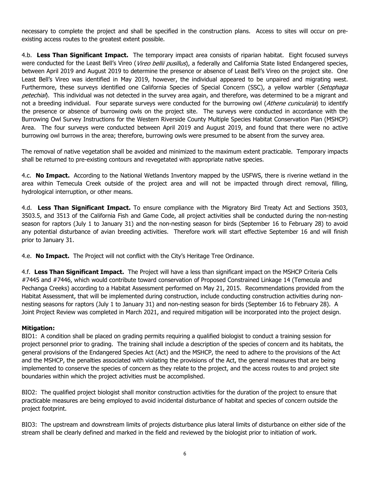necessary to complete the project and shall be specified in the construction plans. Access to sites will occur on preexisting access routes to the greatest extent possible.

4.b. **Less Than Significant Impact.** The temporary impact area consists of riparian habitat. Eight focused surveys were conducted for the Least Bell's Vireo (Vireo bellii pusillus), a federally and California State listed Endangered species, between April 2019 and August 2019 to determine the presence or absence of Least Bell's Vireo on the project site. One Least Bell's Vireo was identified in May 2019, however, the individual appeared to be unpaired and migrating west. Furthermore, these surveys identified one California Species of Special Concern (SSC), a yellow warbler (Setophaga petechial). This individual was not detected in the survey area again, and therefore, was determined to be a migrant and not a breeding individual. Four separate surveys were conducted for the burrowing owl (Athene cunicularia) to identify the presence or absence of burrowing owls on the project site. The surveys were conducted in accordance with the Burrowing Owl Survey Instructions for the Western Riverside County Multiple Species Habitat Conservation Plan (MSHCP) Area. The four surveys were conducted between April 2019 and August 2019, and found that there were no active burrowing owl burrows in the area; therefore, burrowing owls were presumed to be absent from the survey area.

The removal of native vegetation shall be avoided and minimized to the maximum extent practicable. Temporary impacts shall be returned to pre-existing contours and revegetated with appropriate native species.

4.c. **No Impact.** According to the National Wetlands Inventory mapped by the USFWS, there is riverine wetland in the area within Temecula Creek outside of the project area and will not be impacted through direct removal, filling, hydrological interruption, or other means.

4.d. **Less Than Significant Impact.** To ensure compliance with the Migratory Bird Treaty Act and Sections 3503, 3503.5, and 3513 of the California Fish and Game Code, all project activities shall be conducted during the non-nesting season for raptors (July 1 to January 31) and the non-nesting season for birds (September 16 to February 28) to avoid any potential disturbance of avian breeding activities. Therefore work will start effective September 16 and will finish prior to January 31.

4.e. **No Impact.** The Project will not conflict with the City's Heritage Tree Ordinance.

4.f. **Less Than Significant Impact.** The Project will have a less than significant impact on the MSHCP Criteria Cells #7445 and #7446, which would contribute toward conservation of Proposed Constrained Linkage 14 (Temecula and Pechanga Creeks) according to a Habitat Assessment performed on May 21, 2015. Recommendations provided from the Habitat Assessment, that will be implemented during construction, include conducting construction activities during nonnesting seasons for raptors (July 1 to January 31) and non-nesting season for birds (September 16 to February 28). A Joint Project Review was completed in March 2021, and required mitigation will be incorporated into the project design.

#### **Mitigation:**

BIO1: A condition shall be placed on grading permits requiring a qualified biologist to conduct a training session for project personnel prior to grading. The training shall include a description of the species of concern and its habitats, the general provisions of the Endangered Species Act (Act) and the MSHCP, the need to adhere to the provisions of the Act and the MSHCP, the penalties associated with violating the provisions of the Act, the general measures that are being implemented to conserve the species of concern as they relate to the project, and the access routes to and project site boundaries within which the project activities must be accomplished.

BIO2: The qualified project biologist shall monitor construction activities for the duration of the project to ensure that practicable measures are being employed to avoid incidental disturbance of habitat and species of concern outside the project footprint.

BIO3: The upstream and downstream limits of projects disturbance plus lateral limits of disturbance on either side of the stream shall be clearly defined and marked in the field and reviewed by the biologist prior to initiation of work.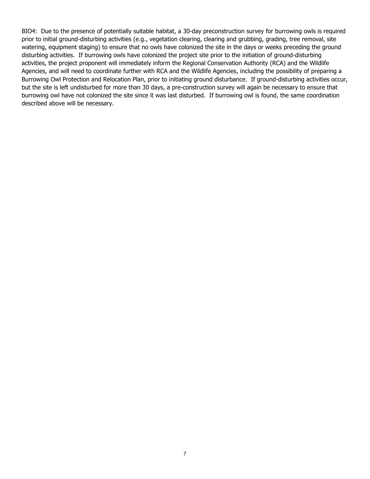BIO4: Due to the presence of potentially suitable habitat, a 30-day preconstruction survey for burrowing owls is required prior to initial ground-disturbing activities (e.g., vegetation clearing, clearing and grubbing, grading, tree removal, site watering, equipment staging) to ensure that no owls have colonized the site in the days or weeks preceding the ground disturbing activities. If burrowing owls have colonized the project site prior to the initiation of ground-disturbing activities, the project proponent will immediately inform the Regional Conservation Authority (RCA) and the Wildlife Agencies, and will need to coordinate further with RCA and the Wildlife Agencies, including the possibility of preparing a Burrowing Owl Protection and Relocation Plan, prior to initiating ground disturbance. If ground-disturbing activities occur, but the site is left undisturbed for more than 30 days, a pre-construction survey will again be necessary to ensure that burrowing owl have not colonized the site since it was last disturbed. If burrowing owl is found, the same coordination described above will be necessary.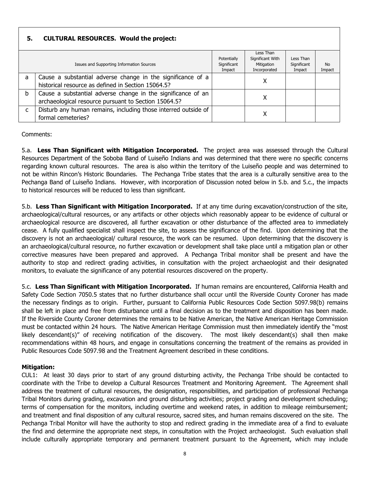#### **5. CULTURAL RESOURCES. Would the project:** Issues and Supporting Information Sources **Potentially Significant** Impact Less Than Significant With Mitigation Incorporated Less Than **Significant** Impact No Impact a  $\vert$  Cause a substantial adverse change in the significance of a historical resource as defined in Section 15064.5? b Cause a substantial adverse change in the significance of an archaeological resource pursuant to Section 15064.5? c Disturb any human remains, including those interred outside of Fiscal brand, including those interior basile of the same contract of the state of the state of the state of the state of the state of the state of the state of the state of the state of the state of the state of the state

Comments:

5.a. **Less Than Significant with Mitigation Incorporated.** The project area was assessed through the Cultural Resources Department of the Soboba Band of Luiseño Indians and was determined that there were no specific concerns regarding known cultural resources. The area is also within the territory of the Luiseño people and was determined to not be within Rincon's Historic Boundaries. The Pechanga Tribe states that the area is a culturally sensitive area to the Pechanga Band of Luiseño Indians. However, with incorporation of Discussion noted below in 5.b. and 5.c., the impacts to historical resources will be reduced to less than significant.

5.b. **Less Than Significant with Mitigation Incorporated.** If at any time during excavation/construction of the site, archaeological/cultural resources, or any artifacts or other objects which reasonably appear to be evidence of cultural or archaeological resource are discovered, all further excavation or other disturbance of the affected area to immediately cease. A fully qualified specialist shall inspect the site, to assess the significance of the find. Upon determining that the discovery is not an archaeological/ cultural resource, the work can be resumed. Upon determining that the discovery is an archaeological/cultural resource, no further excavation or development shall take place until a mitigation plan or other corrective measures have been prepared and approved. A Pechanga Tribal monitor shall be present and have the authority to stop and redirect grading activities, in consultation with the project archaeologist and their designated monitors, to evaluate the significance of any potential resources discovered on the property.

5.c. **Less Than Significant with Mitigation Incorporated.** If human remains are encountered, California Health and Safety Code Section 7050.5 states that no further disturbance shall occur until the Riverside County Coroner has made the necessary findings as to origin. Further, pursuant to California Public Resources Code Section 5097.98(b) remains shall be left in place and free from disturbance until a final decision as to the treatment and disposition has been made. If the Riverside County Coroner determines the remains to be Native American, the Native American Heritage Commission must be contacted within 24 hours. The Native American Heritage Commission must then immediately identify the "most likely descendant(s)" of receiving notification of the discovery. The most likely descendant(s) shall then make recommendations within 48 hours, and engage in consultations concerning the treatment of the remains as provided in Public Resources Code 5097.98 and the Treatment Agreement described in these conditions.

#### **Mitigation:**

CUL1: At least 30 days prior to start of any ground disturbing activity, the Pechanga Tribe should be contacted to coordinate with the Tribe to develop a Cultural Resources Treatment and Monitoring Agreement. The Agreement shall address the treatment of cultural resources, the designation, responsibilities, and participation of professional Pechanga Tribal Monitors during grading, excavation and ground disturbing activities; project grading and development scheduling; terms of compensation for the monitors, including overtime and weekend rates, in addition to mileage reimbursement; and treatment and final disposition of any cultural resource, sacred sites, and human remains discovered on the site. The Pechanga Tribal Monitor will have the authority to stop and redirect grading in the immediate area of a find to evaluate the find and determine the appropriate next steps, in consultation with the Project archaeologist. Such evaluation shall include culturally appropriate temporary and permanent treatment pursuant to the Agreement, which may include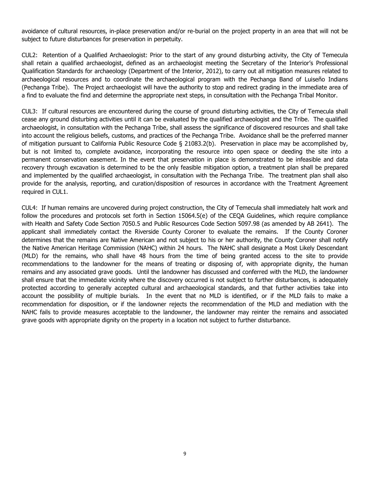avoidance of cultural resources, in-place preservation and/or re-burial on the project property in an area that will not be subject to future disturbances for preservation in perpetuity.

CUL2: Retention of a Qualified Archaeologist: Prior to the start of any ground disturbing activity, the City of Temecula shall retain a qualified archaeologist, defined as an archaeologist meeting the Secretary of the Interior's Professional Qualification Standards for archaeology (Department of the Interior, 2012), to carry out all mitigation measures related to archaeological resources and to coordinate the archaeological program with the Pechanga Band of Luiseño Indians (Pechanga Tribe). The Project archaeologist will have the authority to stop and redirect grading in the immediate area of a find to evaluate the find and determine the appropriate next steps, in consultation with the Pechanga Tribal Monitor.

CUL3: If cultural resources are encountered during the course of ground disturbing activities, the City of Temecula shall cease any ground disturbing activities until it can be evaluated by the qualified archaeologist and the Tribe. The qualified archaeologist, in consultation with the Pechanga Tribe, shall assess the significance of discovered resources and shall take into account the religious beliefs, customs, and practices of the Pechanga Tribe. Avoidance shall be the preferred manner of mitigation pursuant to California Public Resource Code § 21083.2(b). Preservation in place may be accomplished by, but is not limited to, complete avoidance, incorporating the resource into open space or deeding the site into a permanent conservation easement. In the event that preservation in place is demonstrated to be infeasible and data recovery through excavation is determined to be the only feasible mitigation option, a treatment plan shall be prepared and implemented by the qualified archaeologist, in consultation with the Pechanga Tribe. The treatment plan shall also provide for the analysis, reporting, and curation/disposition of resources in accordance with the Treatment Agreement required in CUL1.

CUL4: If human remains are uncovered during project construction, the City of Temecula shall immediately halt work and follow the procedures and protocols set forth in Section 15064.5(e) of the CEQA Guidelines, which require compliance with Health and Safety Code Section 7050.5 and Public Resources Code Section 5097.98 (as amended by AB 2641). The applicant shall immediately contact the Riverside County Coroner to evaluate the remains. If the County Coroner determines that the remains are Native American and not subject to his or her authority, the County Coroner shall notify the Native American Heritage Commission (NAHC) within 24 hours. The NAHC shall designate a Most Likely Descendant (MLD) for the remains, who shall have 48 hours from the time of being granted access to the site to provide recommendations to the landowner for the means of treating or disposing of, with appropriate dignity, the human remains and any associated grave goods. Until the landowner has discussed and conferred with the MLD, the landowner shall ensure that the immediate vicinity where the discovery occurred is not subject to further disturbances, is adequately protected according to generally accepted cultural and archaeological standards, and that further activities take into account the possibility of multiple burials. In the event that no MLD is identified, or if the MLD fails to make a recommendation for disposition, or if the landowner rejects the recommendation of the MLD and mediation with the NAHC fails to provide measures acceptable to the landowner, the landowner may reinter the remains and associated grave goods with appropriate dignity on the property in a location not subject to further disturbance.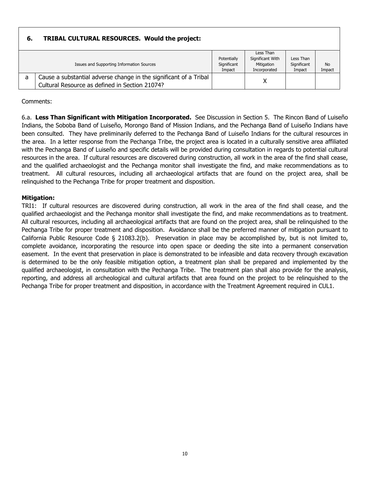#### **6. TRIBAL CULTURAL RESOURCES. Would the project:** Issues and Supporting Information Sources **Potentially Significant** Impact Less Than Significant With Mitigation Incorporated Less Than **Significant** Impact No Impact  $a \mid$  Cause a substantial adverse change in the significant of a Tribal Cultural Resource as defined in Section 21074?

#### Comments:

6.a. **Less Than Significant with Mitigation Incorporated.** See Discussion in Section 5. The Rincon Band of Luiseño Indians, the Soboba Band of Luiseño, Morongo Band of Mission Indians, and the Pechanga Band of Luiseño Indians have been consulted. They have preliminarily deferred to the Pechanga Band of Luiseño Indians for the cultural resources in the area. In a letter response from the Pechanga Tribe, the project area is located in a culturally sensitive area affiliated with the Pechanga Band of Luiseño and specific details will be provided during consultation in regards to potential cultural resources in the area. If cultural resources are discovered during construction, all work in the area of the find shall cease, and the qualified archaeologist and the Pechanga monitor shall investigate the find, and make recommendations as to treatment. All cultural resources, including all archaeological artifacts that are found on the project area, shall be relinquished to the Pechanga Tribe for proper treatment and disposition.

#### **Mitigation:**

TRI1: If cultural resources are discovered during construction, all work in the area of the find shall cease, and the qualified archaeologist and the Pechanga monitor shall investigate the find, and make recommendations as to treatment. All cultural resources, including all archaeological artifacts that are found on the project area, shall be relinquished to the Pechanga Tribe for proper treatment and disposition. Avoidance shall be the preferred manner of mitigation pursuant to California Public Resource Code § 21083.2(b). Preservation in place may be accomplished by, but is not limited to, complete avoidance, incorporating the resource into open space or deeding the site into a permanent conservation easement. In the event that preservation in place is demonstrated to be infeasible and data recovery through excavation is determined to be the only feasible mitigation option, a treatment plan shall be prepared and implemented by the qualified archaeologist, in consultation with the Pechanga Tribe. The treatment plan shall also provide for the analysis, reporting, and address all archeological and cultural artifacts that area found on the project to be relinquished to the Pechanga Tribe for proper treatment and disposition, in accordance with the Treatment Agreement required in CUL1.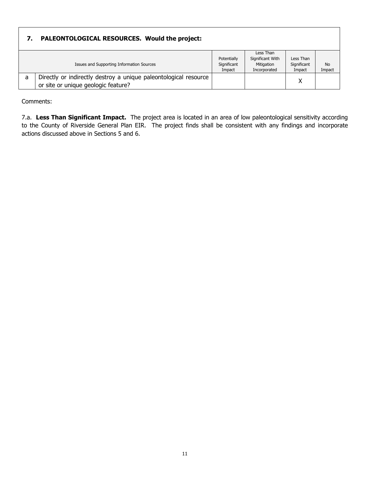|   | PALEONTOLOGICAL RESOURCES. Would the project:                                                           |                                      |                                                             |                                    |                     |  |  |
|---|---------------------------------------------------------------------------------------------------------|--------------------------------------|-------------------------------------------------------------|------------------------------------|---------------------|--|--|
|   | Issues and Supporting Information Sources                                                               | Potentially<br>Significant<br>Impact | Less Than<br>Significant With<br>Mitigation<br>Incorporated | Less Than<br>Significant<br>Impact | <b>No</b><br>Impact |  |  |
| a | Directly or indirectly destroy a unique paleontological resource<br>or site or unique geologic feature? |                                      |                                                             | Χ                                  |                     |  |  |

Comments:

7.a. **Less Than Significant Impact.** The project area is located in an area of low paleontological sensitivity according to the County of Riverside General Plan EIR. The project finds shall be consistent with any findings and incorporate actions discussed above in Sections 5 and 6.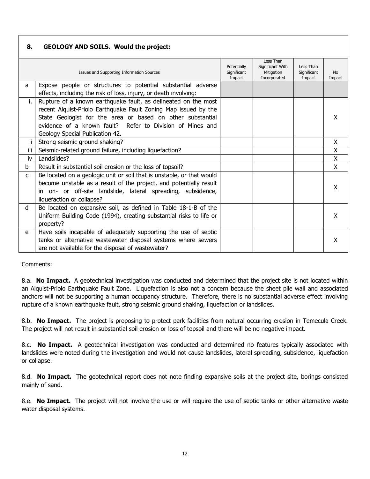| 8.           | <b>GEOLOGY AND SOILS. Would the project:</b>                                                                                                                                                                                                                                                    |                                      |                                                             |                                    |                     |
|--------------|-------------------------------------------------------------------------------------------------------------------------------------------------------------------------------------------------------------------------------------------------------------------------------------------------|--------------------------------------|-------------------------------------------------------------|------------------------------------|---------------------|
|              | Issues and Supporting Information Sources                                                                                                                                                                                                                                                       | Potentially<br>Significant<br>Impact | Less Than<br>Significant With<br>Mitigation<br>Incorporated | Less Than<br>Significant<br>Impact | <b>No</b><br>Impact |
| a            | Expose people or structures to potential substantial adverse<br>effects, including the risk of loss, injury, or death involving:                                                                                                                                                                |                                      |                                                             |                                    |                     |
| i.           | Rupture of a known earthquake fault, as delineated on the most<br>recent Alquist-Priolo Earthquake Fault Zoning Map issued by the<br>State Geologist for the area or based on other substantial<br>evidence of a known fault? Refer to Division of Mines and<br>Geology Special Publication 42. |                                      |                                                             |                                    | X                   |
| ii.          | Strong seismic ground shaking?                                                                                                                                                                                                                                                                  |                                      |                                                             |                                    | X                   |
| iii          | Seismic-related ground failure, including liquefaction?                                                                                                                                                                                                                                         |                                      |                                                             |                                    | $\mathsf{x}$        |
| iv           | Landslides?                                                                                                                                                                                                                                                                                     |                                      |                                                             |                                    | X                   |
| b            | Result in substantial soil erosion or the loss of topsoil?                                                                                                                                                                                                                                      |                                      |                                                             |                                    | X                   |
| $\mathsf{C}$ | Be located on a geologic unit or soil that is unstable, or that would<br>become unstable as a result of the project, and potentially result<br>in on- or off-site landslide, lateral spreading, subsidence,<br>liquefaction or collapse?                                                        |                                      |                                                             |                                    | X                   |
| d            | Be located on expansive soil, as defined in Table 18-1-B of the<br>Uniform Building Code (1994), creating substantial risks to life or<br>property?                                                                                                                                             |                                      |                                                             |                                    | X                   |
| e            | Have soils incapable of adequately supporting the use of septic<br>tanks or alternative wastewater disposal systems where sewers<br>are not available for the disposal of wastewater?                                                                                                           |                                      |                                                             |                                    | x                   |

Comments:

8.a. **No Impact.** A geotechnical investigation was conducted and determined that the project site is not located within an Alquist-Priolo Earthquake Fault Zone. Liquefaction is also not a concern because the sheet pile wall and associated anchors will not be supporting a human occupancy structure. Therefore, there is no substantial adverse effect involving rupture of a known earthquake fault, strong seismic ground shaking, liquefaction or landslides.

8.b. **No Impact.** The project is proposing to protect park facilities from natural occurring erosion in Temecula Creek. The project will not result in substantial soil erosion or loss of topsoil and there will be no negative impact.

8.c. **No Impact.** A geotechnical investigation was conducted and determined no features typically associated with landslides were noted during the investigation and would not cause landslides, lateral spreading, subsidence, liquefaction or collapse.

8.d. **No Impact.** The geotechnical report does not note finding expansive soils at the project site, borings consisted mainly of sand.

8.e. **No Impact.** The project will not involve the use or will require the use of septic tanks or other alternative waste water disposal systems.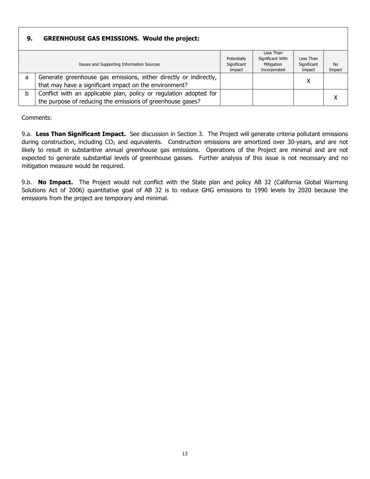# **9. GREENHOUSE GAS EMISSIONS. Would the project:**

|   | Issues and Supporting Information Sources                          | Potentially<br>Significant<br>Impact | Less Than<br>Significant With<br>Mitigation<br>Incorporated | Less Than<br>Significant<br>Impact | <b>No</b><br>Impact |
|---|--------------------------------------------------------------------|--------------------------------------|-------------------------------------------------------------|------------------------------------|---------------------|
| a | Generate greenhouse gas emissions, either directly or indirectly,  |                                      |                                                             | x                                  |                     |
|   | that may have a significant impact on the environment?             |                                      |                                                             |                                    |                     |
| h | Conflict with an applicable plan, policy or regulation adopted for |                                      |                                                             |                                    |                     |
|   | the purpose of reducing the emissions of greenhouse gases?         |                                      |                                                             |                                    |                     |

Comments:

9.a. **Less Than Significant Impact.** See discussion in Section 3. The Project will generate criteria pollutant emissions during construction, including CO2 and equivalents. Construction emissions are amortized over 30-years, and are not likely to result in substantive annual greenhouse gas emissions. Operations of the Project are minimal and are not expected to generate substantial levels of greenhouse gasses. Further analysis of this issue is not necessary and no mitigation measure would be required.

9.b. **No Impact.** The Project would not conflict with the State plan and policy AB 32 (California Global Warming Solutions Act of 2006) quantitative goal of AB 32 is to reduce GHG emissions to 1990 levels by 2020 because the emissions from the project are temporary and minimal.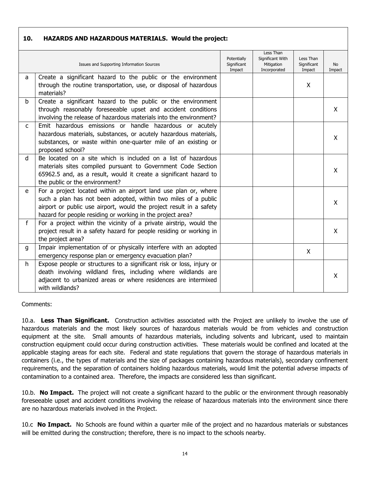### **10. HAZARDS AND HAZARDOUS MATERIALS. Would the project:**

|              | Issues and Supporting Information Sources                                                                                                                                                                                                                              | Potentially<br>Significant<br>Impact | Less Than<br>Significant With<br>Mitigation<br>Incorporated | Less Than<br>Significant<br>Impact | <b>No</b><br>Impact |
|--------------|------------------------------------------------------------------------------------------------------------------------------------------------------------------------------------------------------------------------------------------------------------------------|--------------------------------------|-------------------------------------------------------------|------------------------------------|---------------------|
| a            | Create a significant hazard to the public or the environment<br>through the routine transportation, use, or disposal of hazardous<br>materials?                                                                                                                        |                                      |                                                             | X                                  |                     |
| b            | Create a significant hazard to the public or the environment<br>through reasonably foreseeable upset and accident conditions<br>involving the release of hazardous materials into the environment?                                                                     |                                      |                                                             |                                    | X                   |
| $\mathsf{C}$ | Emit hazardous emissions or handle hazardous or acutely<br>hazardous materials, substances, or acutely hazardous materials,<br>substances, or waste within one-quarter mile of an existing or<br>proposed school?                                                      |                                      |                                                             |                                    | X                   |
| d            | Be located on a site which is included on a list of hazardous<br>materials sites compiled pursuant to Government Code Section<br>65962.5 and, as a result, would it create a significant hazard to<br>the public or the environment?                                   |                                      |                                                             |                                    | X                   |
| e            | For a project located within an airport land use plan or, where<br>such a plan has not been adopted, within two miles of a public<br>airport or public use airport, would the project result in a safety<br>hazard for people residing or working in the project area? |                                      |                                                             |                                    | X                   |
| f            | For a project within the vicinity of a private airstrip, would the<br>project result in a safety hazard for people residing or working in<br>the project area?                                                                                                         |                                      |                                                             |                                    | $\mathsf{X}$        |
| g            | Impair implementation of or physically interfere with an adopted<br>emergency response plan or emergency evacuation plan?                                                                                                                                              |                                      |                                                             | $\mathsf{X}$                       |                     |
| h.           | Expose people or structures to a significant risk or loss, injury or<br>death involving wildland fires, including where wildlands are<br>adjacent to urbanized areas or where residences are intermixed<br>with wildlands?                                             |                                      |                                                             |                                    | X                   |

Comments:

10.a. **Less Than Significant.** Construction activities associated with the Project are unlikely to involve the use of hazardous materials and the most likely sources of hazardous materials would be from vehicles and construction equipment at the site. Small amounts of hazardous materials, including solvents and lubricant, used to maintain construction equipment could occur during construction activities. These materials would be confined and located at the applicable staging areas for each site. Federal and state regulations that govern the storage of hazardous materials in containers (i.e., the types of materials and the size of packages containing hazardous materials), secondary confinement requirements, and the separation of containers holding hazardous materials, would limit the potential adverse impacts of contamination to a contained area. Therefore, the impacts are considered less than significant.

10.b. **No Impact.** The project will not create a significant hazard to the public or the environment through reasonably foreseeable upset and accident conditions involving the release of hazardous materials into the environment since there are no hazardous materials involved in the Project.

10.c **No Impact.** No Schools are found within a quarter mile of the project and no hazardous materials or substances will be emitted during the construction; therefore, there is no impact to the schools nearby.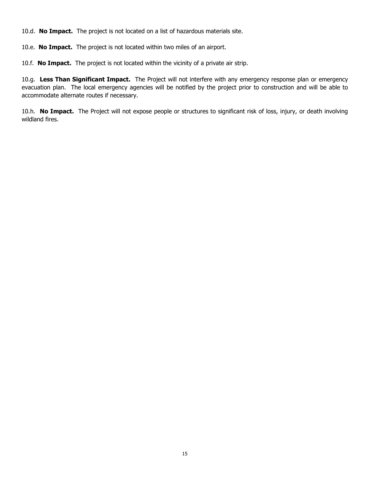10.d. **No Impact.** The project is not located on a list of hazardous materials site.

10.e. **No Impact.** The project is not located within two miles of an airport.

10.f. **No Impact.** The project is not located within the vicinity of a private air strip.

10.g. **Less Than Significant Impact.** The Project will not interfere with any emergency response plan or emergency evacuation plan. The local emergency agencies will be notified by the project prior to construction and will be able to accommodate alternate routes if necessary.

10.h. **No Impact.** The Project will not expose people or structures to significant risk of loss, injury, or death involving wildland fires.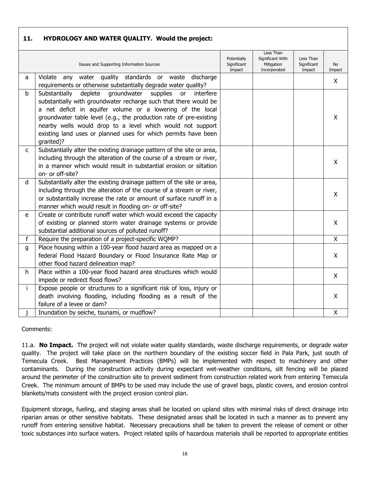#### **11. HYDROLOGY AND WATER QUALITY. Would the project:**

|              | Issues and Supporting Information Sources                                                                                                                                                                                                                                                                                                                                                                                | Potentially<br>Significant<br>Impact | Less Than<br>Significant With<br>Mitigation<br>Incorporated | Less Than<br>Significant<br>Impact | <b>No</b><br>Impact |
|--------------|--------------------------------------------------------------------------------------------------------------------------------------------------------------------------------------------------------------------------------------------------------------------------------------------------------------------------------------------------------------------------------------------------------------------------|--------------------------------------|-------------------------------------------------------------|------------------------------------|---------------------|
| a            | water quality standards or waste<br>Violate any<br>discharge<br>requirements or otherwise substantially degrade water quality?                                                                                                                                                                                                                                                                                           |                                      |                                                             |                                    | X                   |
| b            | Substantially<br>deplete<br>groundwater supplies<br>interfere<br>or<br>substantially with groundwater recharge such that there would be<br>a net deficit in aquifer volume or a lowering of the local<br>groundwater table level (e.g., the production rate of pre-existing<br>nearby wells would drop to a level which would not support<br>existing land uses or planned uses for which permits have been<br>granted)? |                                      |                                                             |                                    | X                   |
| $\mathsf{C}$ | Substantially alter the existing drainage pattern of the site or area,<br>including through the alteration of the course of a stream or river,<br>in a manner which would result in substantial erosion or siltation<br>on- or off-site?                                                                                                                                                                                 |                                      |                                                             |                                    | $\mathsf{X}$        |
| d            | Substantially alter the existing drainage pattern of the site or area,<br>including through the alteration of the course of a stream or river,<br>or substantially increase the rate or amount of surface runoff in a<br>manner which would result in flooding on- or off-site?                                                                                                                                          |                                      |                                                             |                                    | X                   |
| e            | Create or contribute runoff water which would exceed the capacity<br>of existing or planned storm water drainage systems or provide<br>substantial additional sources of polluted runoff?                                                                                                                                                                                                                                |                                      |                                                             |                                    | X                   |
| f            | Require the preparation of a project-specific WQMP?                                                                                                                                                                                                                                                                                                                                                                      |                                      |                                                             |                                    | X                   |
| g            | Place housing within a 100-year flood hazard area as mapped on a<br>federal Flood Hazard Boundary or Flood Insurance Rate Map or<br>other flood hazard delineation map?                                                                                                                                                                                                                                                  |                                      |                                                             |                                    | X                   |
| h.           | Place within a 100-year flood hazard area structures which would<br>impede or redirect flood flows?                                                                                                                                                                                                                                                                                                                      |                                      |                                                             |                                    | $\mathsf{X}$        |
| j.           | Expose people or structures to a significant risk of loss, injury or<br>death involving flooding, including flooding as a result of the<br>failure of a levee or dam?                                                                                                                                                                                                                                                    |                                      |                                                             |                                    | X                   |
|              | Inundation by seiche, tsunami, or mudflow?                                                                                                                                                                                                                                                                                                                                                                               |                                      |                                                             |                                    | X                   |

Comments:

11.a. **No Impact.** The project will not violate water quality standards, waste discharge requirements, or degrade water quality. The project will take place on the northern boundary of the existing soccer field in Pala Park, just south of Temecula Creek. Best Management Practices (BMPs) will be implemented with respect to machinery and other contaminants. During the construction activity during expectant wet-weather conditions, silt fencing will be placed around the perimeter of the construction site to prevent sediment from construction related work from entering Temecula Creek. The minimum amount of BMPs to be used may include the use of gravel bags, plastic covers, and erosion control blankets/mats consistent with the project erosion control plan.

Equipment storage, fueling, and staging areas shall be located on upland sites with minimal risks of direct drainage into riparian areas or other sensitive habitats. These designated areas shall be located in such a manner as to prevent any runoff from entering sensitive habitat. Necessary precautions shall be taken to prevent the release of cement or other toxic substances into surface waters. Project related spills of hazardous materials shall be reported to appropriate entities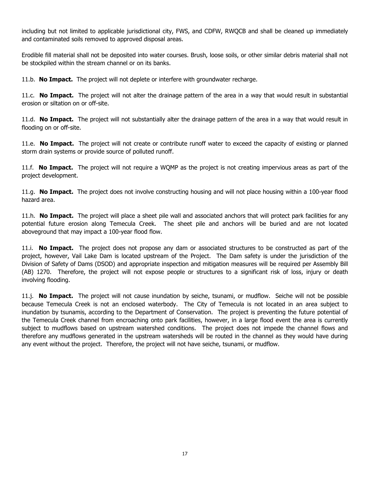including but not limited to applicable jurisdictional city, FWS, and CDFW, RWQCB and shall be cleaned up immediately and contaminated soils removed to approved disposal areas.

Erodible fill material shall not be deposited into water courses. Brush, loose soils, or other similar debris material shall not be stockpiled within the stream channel or on its banks.

11.b. **No Impact.** The project will not deplete or interfere with groundwater recharge.

11.c. **No Impact.** The project will not alter the drainage pattern of the area in a way that would result in substantial erosion or siltation on or off-site.

11.d. **No Impact.** The project will not substantially alter the drainage pattern of the area in a way that would result in flooding on or off-site.

11.e. **No Impact.** The project will not create or contribute runoff water to exceed the capacity of existing or planned storm drain systems or provide source of polluted runoff.

11.f. **No Impact.** The project will not require a WQMP as the project is not creating impervious areas as part of the project development.

11.g. **No Impact.** The project does not involve constructing housing and will not place housing within a 100-year flood hazard area.

11.h. **No Impact.** The project will place a sheet pile wall and associated anchors that will protect park facilities for any potential future erosion along Temecula Creek. The sheet pile and anchors will be buried and are not located aboveground that may impact a 100-year flood flow.

11.i. **No Impact.** The project does not propose any dam or associated structures to be constructed as part of the project, however, Vail Lake Dam is located upstream of the Project. The Dam safety is under the jurisdiction of the Division of Safety of Dams (DSOD) and appropriate inspection and mitigation measures will be required per Assembly Bill (AB) 1270. Therefore, the project will not expose people or structures to a significant risk of loss, injury or death involving flooding.

11.j. **No Impact.** The project will not cause inundation by seiche, tsunami, or mudflow. Seiche will not be possible because Temecula Creek is not an enclosed waterbody. The City of Temecula is not located in an area subject to inundation by tsunamis, according to the Department of Conservation. The project is preventing the future potential of the Temecula Creek channel from encroaching onto park facilities, however, in a large flood event the area is currently subject to mudflows based on upstream watershed conditions. The project does not impede the channel flows and therefore any mudflows generated in the upstream watersheds will be routed in the channel as they would have during any event without the project. Therefore, the project will not have seiche, tsunami, or mudflow.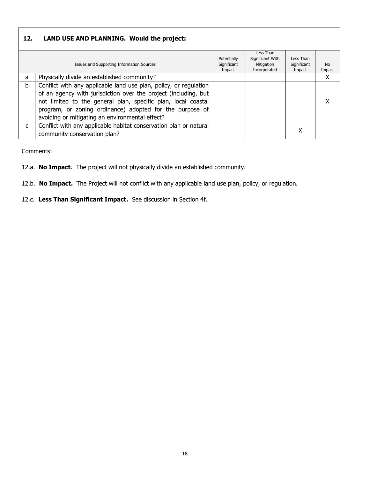#### **12. LAND USE AND PLANNING. Would the project:** Issues and Supporting Information Sources Potentially **Significant** Impact Less Than Significant With **Mitigation** Incorporated Less Than **Significant** Impact No Impact a Physically divide an established community? and a stable of the state of the state of the state of the state of the state of the state of the state of the state of the state of the state of the state of the state of the  $\mathbf{b}$  | Conflict with any applicable land use plan, policy, or regulation of an agency with jurisdiction over the project (including, but not limited to the general plan, specific plan, local coastal program, or zoning ordinance) adopted for the purpose of avoiding or mitigating an environmental effect? X  $c$  Conflict with any applicable habitat conservation plan or natural community conservation plan? X

Comments:

- 12.a. **No Impact**. The project will not physically divide an established community.
- 12.b. **No Impact.** The Project will not conflict with any applicable land use plan, policy, or regulation.
- 12.c. **Less Than Significant Impact.** See discussion in Section 4f.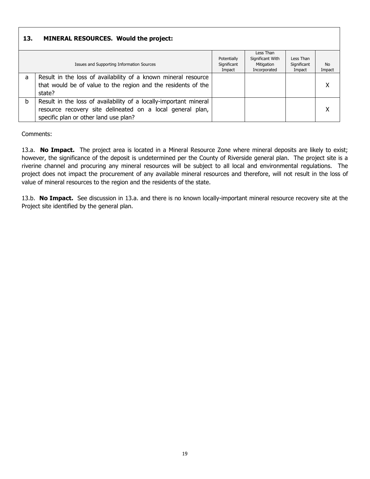#### **13. MINERAL RESOURCES. Would the project:** Issues and Supporting Information Sources **Potentially Significant** Impact Less Than Significant With Mitigation Incorporated Less Than **Significant** Impact No Impact a | Result in the loss of availability of a known mineral resource that would be of value to the region and the residents of the state? X  $b$  Result in the loss of availability of a locally-important mineral resource recovery site delineated on a local general plan, specific plan or other land use plan? X

Comments:

13.a. **No Impact.** The project area is located in a Mineral Resource Zone where mineral deposits are likely to exist; however, the significance of the deposit is undetermined per the County of Riverside general plan. The project site is a riverine channel and procuring any mineral resources will be subject to all local and environmental regulations. The project does not impact the procurement of any available mineral resources and therefore, will not result in the loss of value of mineral resources to the region and the residents of the state.

13.b. **No Impact.** See discussion in 13.a. and there is no known locally-important mineral resource recovery site at the Project site identified by the general plan.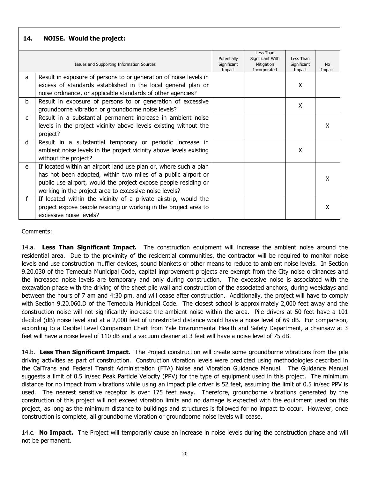### **14. NOISE. Would the project:**

|              | Issues and Supporting Information Sources                                                                                                                                                                                                                      | Potentially<br>Significant<br>Impact | Less Than<br>Significant With<br><b>Mitigation</b><br>Incorporated | Less Than<br>Significant<br>Impact | <b>No</b><br>Impact |
|--------------|----------------------------------------------------------------------------------------------------------------------------------------------------------------------------------------------------------------------------------------------------------------|--------------------------------------|--------------------------------------------------------------------|------------------------------------|---------------------|
| a            | Result in exposure of persons to or generation of noise levels in<br>excess of standards established in the local general plan or<br>noise ordinance, or applicable standards of other agencies?                                                               |                                      |                                                                    | X                                  |                     |
| b            | Result in exposure of persons to or generation of excessive<br>groundborne vibration or groundborne noise levels?                                                                                                                                              |                                      |                                                                    | X                                  |                     |
| $\mathsf{C}$ | Result in a substantial permanent increase in ambient noise<br>levels in the project vicinity above levels existing without the<br>project?                                                                                                                    |                                      |                                                                    |                                    | X                   |
| d            | Result in a substantial temporary or periodic increase in<br>ambient noise levels in the project vicinity above levels existing<br>without the project?                                                                                                        |                                      |                                                                    | X                                  |                     |
| e            | If located within an airport land use plan or, where such a plan<br>has not been adopted, within two miles of a public airport or<br>public use airport, would the project expose people residing or<br>working in the project area to excessive noise levels? |                                      |                                                                    |                                    | X                   |
| f            | If located within the vicinity of a private airstrip, would the<br>project expose people residing or working in the project area to<br>excessive noise levels?                                                                                                 |                                      |                                                                    |                                    | X                   |

Comments:

14.a. **Less Than Significant Impact.** The construction equipment will increase the ambient noise around the residential area. Due to the proximity of the residential communities, the contractor will be required to monitor noise levels and use construction muffler devices, sound blankets or other means to reduce to ambient noise levels. In Section 9.20.030 of the Temecula Municipal Code, capital improvement projects are exempt from the City noise ordinances and the increased noise levels are temporary and only during construction. The excessive noise is associated with the excavation phase with the driving of the sheet pile wall and construction of the associated anchors, during weekdays and between the hours of 7 am and 4:30 pm, and will cease after construction. Additionally, the project will have to comply with Section 9.20.060.D of the Temecula Municipal Code. The closest school is approximately 2,000 feet away and the construction noise will not significantly increase the ambient noise within the area. Pile drivers at 50 feet have a 101 decibel (dB) noise level and at a 2,000 feet of unrestricted distance would have a noise level of 69 dB. For comparison, according to a Decibel Level Comparison Chart from Yale Environmental Health and Safety Department, a chainsaw at 3 feet will have a noise level of 110 dB and a vacuum cleaner at 3 feet will have a noise level of 75 dB.

14.b. **Less Than Significant Impact.** The Project construction will create some groundborne vibrations from the pile driving activities as part of construction. Construction vibration levels were predicted using methodologies described in the CalTrans and Federal Transit Administration (FTA) Noise and Vibration Guidance Manual. The Guidance Manual suggests a limit of 0.5 in/sec Peak Particle Velocity (PPV) for the type of equipment used in this project. The minimum distance for no impact from vibrations while using an impact pile driver is 52 feet, assuming the limit of 0.5 in/sec PPV is used. The nearest sensitive receptor is over 175 feet away. Therefore, groundborne vibrations generated by the construction of this project will not exceed vibration limits and no damage is expected with the equipment used on this project, as long as the minimum distance to buildings and structures is followed for no impact to occur. However, once construction is complete, all groundborne vibration or groundborne noise levels will cease.

14.c. **No Impact.** The Project will temporarily cause an increase in noise levels during the construction phase and will not be permanent.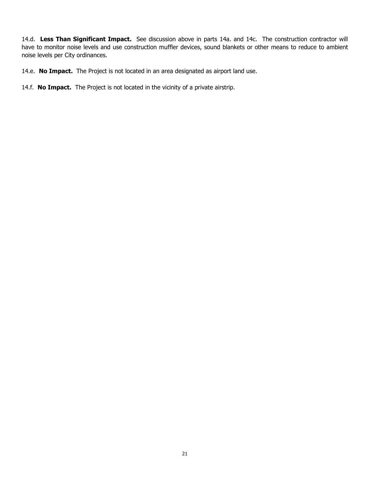14.d. **Less Than Significant Impact.** See discussion above in parts 14a. and 14c. The construction contractor will have to monitor noise levels and use construction muffler devices, sound blankets or other means to reduce to ambient noise levels per City ordinances.

14.e. **No Impact.** The Project is not located in an area designated as airport land use.

14.f. **No Impact.** The Project is not located in the vicinity of a private airstrip.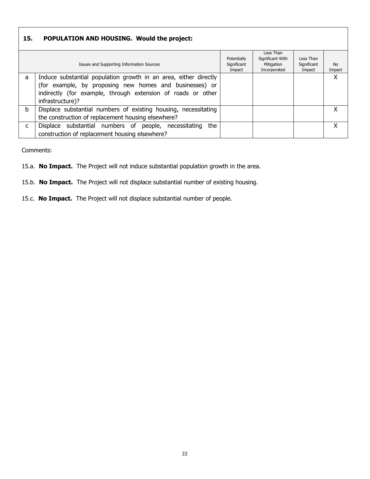| 15.          | POPULATION AND HOUSING. Would the project:                                                                                                                                                                      |                                      |                                                             |                                    |                     |
|--------------|-----------------------------------------------------------------------------------------------------------------------------------------------------------------------------------------------------------------|--------------------------------------|-------------------------------------------------------------|------------------------------------|---------------------|
|              | Issues and Supporting Information Sources                                                                                                                                                                       | Potentially<br>Significant<br>Impact | Less Than<br>Significant With<br>Mitigation<br>Incorporated | Less Than<br>Significant<br>Impact | <b>No</b><br>Impact |
| a            | Induce substantial population growth in an area, either directly<br>(for example, by proposing new homes and businesses) or<br>indirectly (for example, through extension of roads or other<br>infrastructure)? |                                      |                                                             |                                    | х                   |
| b.           | Displace substantial numbers of existing housing, necessitating<br>the construction of replacement housing elsewhere?                                                                                           |                                      |                                                             |                                    | X                   |
| $\mathsf{C}$ | Displace substantial numbers of people,<br>the<br>necessitating<br>construction of replacement housing elsewhere?                                                                                               |                                      |                                                             |                                    | X                   |

Comments:

- 15.a. **No Impact.** The Project will not induce substantial population growth in the area.
- 15.b. **No Impact.** The Project will not displace substantial number of existing housing.
- 15.c. **No Impact.** The Project will not displace substantial number of people.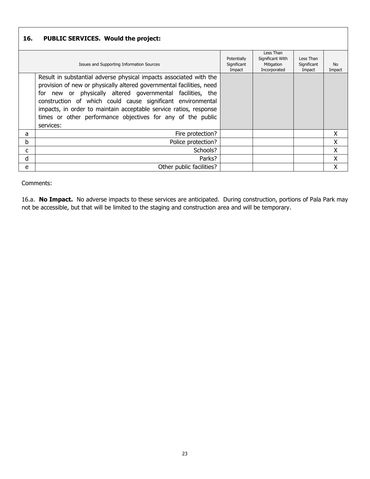# **16. PUBLIC SERVICES. Would the project:**

|   | Issues and Supporting Information Sources                                                                                                                                                                                                                                                                                                                                                                                | Potentially<br>Significant<br>Impact | Less Than<br>Significant With<br>Mitigation<br>Incorporated | Less Than<br>Significant<br>Impact | <b>No</b><br>Impact |
|---|--------------------------------------------------------------------------------------------------------------------------------------------------------------------------------------------------------------------------------------------------------------------------------------------------------------------------------------------------------------------------------------------------------------------------|--------------------------------------|-------------------------------------------------------------|------------------------------------|---------------------|
|   | Result in substantial adverse physical impacts associated with the<br>provision of new or physically altered governmental facilities, need<br>for new or physically altered governmental facilities, the<br>construction of which could cause significant environmental<br>impacts, in order to maintain acceptable service ratios, response<br>times or other performance objectives for any of the public<br>services: |                                      |                                                             |                                    |                     |
| a | Fire protection?                                                                                                                                                                                                                                                                                                                                                                                                         |                                      |                                                             |                                    | X                   |
| b | Police protection?                                                                                                                                                                                                                                                                                                                                                                                                       |                                      |                                                             |                                    | Χ                   |
| c | Schools?                                                                                                                                                                                                                                                                                                                                                                                                                 |                                      |                                                             |                                    | X                   |
| d | Parks?                                                                                                                                                                                                                                                                                                                                                                                                                   |                                      |                                                             |                                    | X                   |
| e | Other public facilities?                                                                                                                                                                                                                                                                                                                                                                                                 |                                      |                                                             |                                    | Χ                   |

Comments:

16.a. **No Impact.** No adverse impacts to these services are anticipated. During construction, portions of Pala Park may not be accessible, but that will be limited to the staging and construction area and will be temporary.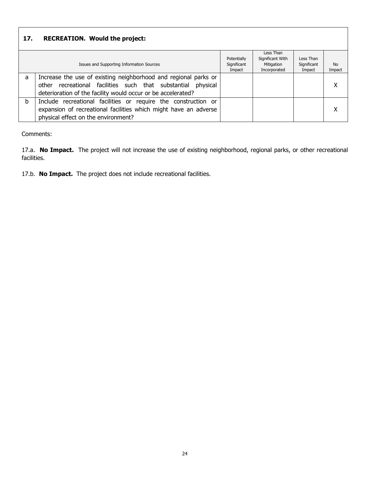# **17. RECREATION. Would the project:**

|   | Issues and Supporting Information Sources                                                                                                                                                          | Potentially<br>Significant<br>Impact | Less Than<br>Significant With<br>Mitigation<br>Incorporated | Less Than<br>Significant<br>Impact | <b>No</b><br>Impact |
|---|----------------------------------------------------------------------------------------------------------------------------------------------------------------------------------------------------|--------------------------------------|-------------------------------------------------------------|------------------------------------|---------------------|
| a | Increase the use of existing neighborhood and regional parks or<br>other recreational facilities such that substantial<br>physical<br>deterioration of the facility would occur or be accelerated? |                                      |                                                             |                                    | x                   |
| h | Include recreational facilities or require the construction or<br>expansion of recreational facilities which might have an adverse<br>physical effect on the environment?                          |                                      |                                                             |                                    | χ                   |

Comments:

17.a. **No Impact.** The project will not increase the use of existing neighborhood, regional parks, or other recreational facilities.

17.b. **No Impact.** The project does not include recreational facilities.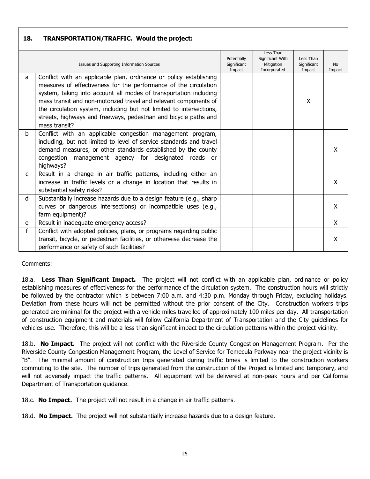| 18.          | <b>TRANSPORTATION/TRAFFIC. Would the project:</b>                                                                                                                                                                                                                                                                                                                                                                                           |                                      |                                                             |                                    |                     |  |  |  |  |  |
|--------------|---------------------------------------------------------------------------------------------------------------------------------------------------------------------------------------------------------------------------------------------------------------------------------------------------------------------------------------------------------------------------------------------------------------------------------------------|--------------------------------------|-------------------------------------------------------------|------------------------------------|---------------------|--|--|--|--|--|
|              | Issues and Supporting Information Sources                                                                                                                                                                                                                                                                                                                                                                                                   | Potentially<br>Significant<br>Impact | Less Than<br>Significant With<br>Mitigation<br>Incorporated | Less Than<br>Significant<br>Impact | <b>No</b><br>Impact |  |  |  |  |  |
| a            | Conflict with an applicable plan, ordinance or policy establishing<br>measures of effectiveness for the performance of the circulation<br>system, taking into account all modes of transportation including<br>mass transit and non-motorized travel and relevant components of<br>the circulation system, including but not limited to intersections,<br>streets, highways and freeways, pedestrian and bicycle paths and<br>mass transit? |                                      |                                                             | X                                  |                     |  |  |  |  |  |
| <sub>b</sub> | Conflict with an applicable congestion management program,<br>including, but not limited to level of service standards and travel<br>demand measures, or other standards established by the county<br>congestion management agency for designated roads or<br>highways?                                                                                                                                                                     |                                      |                                                             |                                    | X                   |  |  |  |  |  |
| $\mathsf{C}$ | Result in a change in air traffic patterns, including either an<br>increase in traffic levels or a change in location that results in<br>substantial safety risks?                                                                                                                                                                                                                                                                          |                                      |                                                             |                                    | X                   |  |  |  |  |  |
| d            | Substantially increase hazards due to a design feature (e.g., sharp<br>curves or dangerous intersections) or incompatible uses (e.g.,<br>farm equipment)?                                                                                                                                                                                                                                                                                   |                                      |                                                             |                                    | X                   |  |  |  |  |  |
| e            | Result in inadequate emergency access?                                                                                                                                                                                                                                                                                                                                                                                                      |                                      |                                                             |                                    | X                   |  |  |  |  |  |
| f            | Conflict with adopted policies, plans, or programs regarding public<br>transit, bicycle, or pedestrian facilities, or otherwise decrease the<br>performance or safety of such facilities?                                                                                                                                                                                                                                                   |                                      |                                                             |                                    | X                   |  |  |  |  |  |

Comments:

18.a. **Less Than Significant Impact.** The project will not conflict with an applicable plan, ordinance or policy establishing measures of effectiveness for the performance of the circulation system. The construction hours will strictly be followed by the contractor which is between 7:00 a.m. and 4:30 p.m. Monday through Friday, excluding holidays. Deviation from these hours will not be permitted without the prior consent of the City. Construction workers trips generated are minimal for the project with a vehicle miles travelled of approximately 100 miles per day. All transportation of construction equipment and materials will follow California Department of Transportation and the City guidelines for vehicles use. Therefore, this will be a less than significant impact to the circulation patterns within the project vicinity.

18.b. **No Impact.** The project will not conflict with the Riverside County Congestion Management Program. Per the Riverside County Congestion Management Program, the Level of Service for Temecula Parkway near the project vicinity is "B". The minimal amount of construction trips generated during traffic times is limited to the construction workers commuting to the site. The number of trips generated from the construction of the Project is limited and temporary, and will not adversely impact the traffic patterns. All equipment will be delivered at non-peak hours and per California Department of Transportation guidance.

18.c. **No Impact.** The project will not result in a change in air traffic patterns.

18.d. **No Impact.** The project will not substantially increase hazards due to a design feature.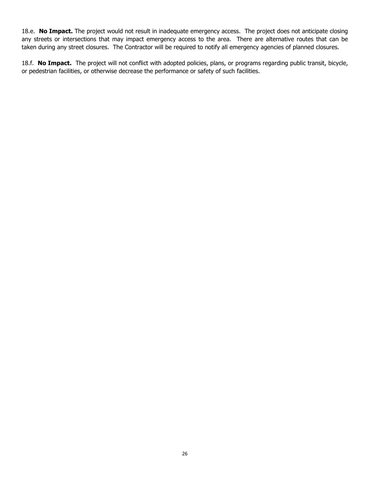18.e. **No Impact.** The project would not result in inadequate emergency access. The project does not anticipate closing any streets or intersections that may impact emergency access to the area. There are alternative routes that can be taken during any street closures. The Contractor will be required to notify all emergency agencies of planned closures.

18.f. **No Impact.** The project will not conflict with adopted policies, plans, or programs regarding public transit, bicycle, or pedestrian facilities, or otherwise decrease the performance or safety of such facilities.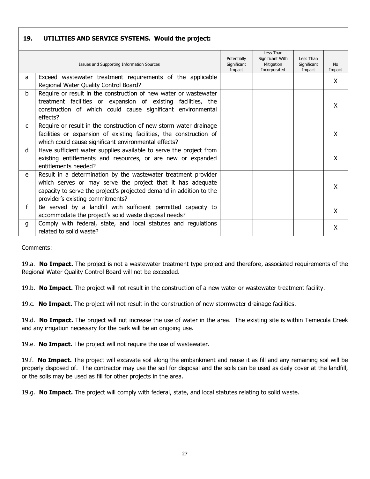| 19.          | UTILITIES AND SERVICE SYSTEMS. Would the project:                                                                                                                                                                                       |                                      |                                                             |                                    |                     |
|--------------|-----------------------------------------------------------------------------------------------------------------------------------------------------------------------------------------------------------------------------------------|--------------------------------------|-------------------------------------------------------------|------------------------------------|---------------------|
|              | Issues and Supporting Information Sources                                                                                                                                                                                               | Potentially<br>Significant<br>Impact | Less Than<br>Significant With<br>Mitigation<br>Incorporated | Less Than<br>Significant<br>Impact | <b>No</b><br>Impact |
| a            | Exceed wastewater treatment requirements of the applicable<br>Regional Water Quality Control Board?                                                                                                                                     |                                      |                                                             |                                    | X                   |
| b            | Require or result in the construction of new water or wastewater<br>treatment facilities or expansion of existing facilities, the<br>construction of which could cause significant environmental<br>effects?                            |                                      |                                                             |                                    | X                   |
| $\mathsf{C}$ | Require or result in the construction of new storm water drainage<br>facilities or expansion of existing facilities, the construction of<br>which could cause significant environmental effects?                                        |                                      |                                                             |                                    | X                   |
| d            | Have sufficient water supplies available to serve the project from<br>existing entitlements and resources, or are new or expanded<br>entitlements needed?                                                                               |                                      |                                                             |                                    | X                   |
| e            | Result in a determination by the wastewater treatment provider<br>which serves or may serve the project that it has adequate<br>capacity to serve the project's projected demand in addition to the<br>provider's existing commitments? |                                      |                                                             |                                    | X                   |
| f            | Be served by a landfill with sufficient permitted capacity to<br>accommodate the project's solid waste disposal needs?                                                                                                                  |                                      |                                                             |                                    | X                   |
| g            | Comply with federal, state, and local statutes and regulations<br>related to solid waste?                                                                                                                                               |                                      |                                                             |                                    | X                   |

Comments:

19.a. **No Impact.** The project is not a wastewater treatment type project and therefore, associated requirements of the Regional Water Quality Control Board will not be exceeded.

19.b. **No Impact.** The project will not result in the construction of a new water or wastewater treatment facility.

19.c. **No Impact.** The project will not result in the construction of new stormwater drainage facilities.

19.d. **No Impact.** The project will not increase the use of water in the area. The existing site is within Temecula Creek and any irrigation necessary for the park will be an ongoing use.

19.e. **No Impact.** The project will not require the use of wastewater.

19.f. **No Impact.** The project will excavate soil along the embankment and reuse it as fill and any remaining soil will be properly disposed of. The contractor may use the soil for disposal and the soils can be used as daily cover at the landfill, or the soils may be used as fill for other projects in the area.

19.g. **No Impact.** The project will comply with federal, state, and local statutes relating to solid waste.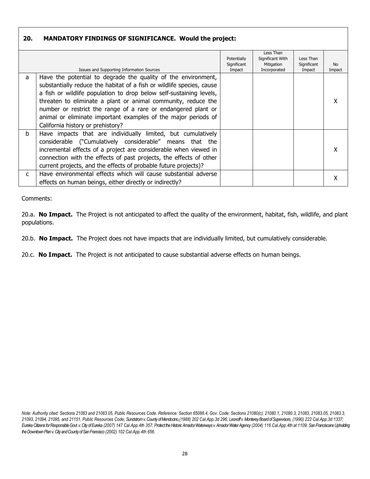| 20.          | <b>MANDATORY FINDINGS OF SIGNIFICANCE. Would the project:</b>                                                                                                                                                                                                                                                                                                                                                                                          |                                      |                                                             |                                    |                     |
|--------------|--------------------------------------------------------------------------------------------------------------------------------------------------------------------------------------------------------------------------------------------------------------------------------------------------------------------------------------------------------------------------------------------------------------------------------------------------------|--------------------------------------|-------------------------------------------------------------|------------------------------------|---------------------|
|              | Issues and Supporting Information Sources                                                                                                                                                                                                                                                                                                                                                                                                              | Potentially<br>Significant<br>Impact | Less Than<br>Significant With<br>Mitigation<br>Incorporated | Less Than<br>Significant<br>Impact | <b>No</b><br>Impact |
| a            | Have the potential to degrade the quality of the environment,<br>substantially reduce the habitat of a fish or wildlife species, cause<br>a fish or wildlife population to drop below self-sustaining levels,<br>threaten to eliminate a plant or animal community, reduce the<br>number or restrict the range of a rare or endangered plant or<br>animal or eliminate important examples of the major periods of<br>California history or prehistory? |                                      |                                                             |                                    | X                   |
| <sub>b</sub> | Have impacts that are individually limited, but cumulatively<br>considerable ("Cumulatively considerable" means that the<br>incremental effects of a project are considerable when viewed in<br>connection with the effects of past projects, the effects of other<br>current projects, and the effects of probable future projects)?                                                                                                                  |                                      |                                                             |                                    | x                   |
| C.           | Have environmental effects which will cause substantial adverse<br>effects on human beings, either directly or indirectly?                                                                                                                                                                                                                                                                                                                             |                                      |                                                             |                                    | х                   |

Comments:

20.a. **No Impact.** The Project is not anticipated to affect the quality of the environment, habitat, fish, wildlife, and plant populations.

20.b. **No Impact.** The Project does not have impacts that are individually limited, but cumulatively considerable.

20.c. **No Impact.** The Project is not anticipated to cause substantial adverse effects on human beings.

*Note: Authority cited: Sections 21083 and 21083.05, Public Resources Code. Reference: Section 65088.4, Gov. Code; Sections 21080(c), 21080.1, 21080.3, 21083, 21083.05, 21083.3, 21093, 21094, 21095, and 21151, Public Resources Code; Sundstrom v. County of Mendocino,(1988) 202 Cal.App.3d 296; Leonoff v. Monterey Board of Supervisors, (1990) 222 Cal.App.3d 1337;*  Eureka Citizens for Responsible Govt. v. City of Eureka (2007) 147 Cal.App.4th 357; Protect the Historic Amador Waterways v. Amador Water Agency (2004) 116 Cal.App.4th at 1109; San Franciscans Upholding *the Downtown Plan v. City and County of San Francisco (2002) 102 Cal.App.4th 656*.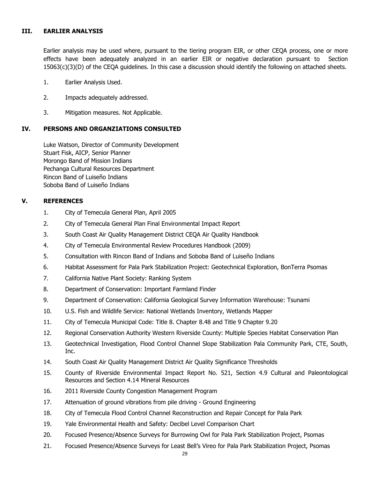#### **III. EARLIER ANALYSIS**

Earlier analysis may be used where, pursuant to the tiering program EIR, or other CEQA process, one or more effects have been adequately analyzed in an earlier EIR or negative declaration pursuant to Section 15063(c)(3)(D) of the CEQA guidelines. In this case a discussion should identify the following on attached sheets.

- 1. Earlier Analysis Used.
- 2. Impacts adequately addressed.
- 3. Mitigation measures. Not Applicable.

#### **IV. PERSONS AND ORGANZIATIONS CONSULTED**

Luke Watson, Director of Community Development Stuart Fisk, AICP, Senior Planner Morongo Band of Mission Indians Pechanga Cultural Resources Department Rincon Band of Luiseño Indians Soboba Band of Luiseño Indians

#### **V. REFERENCES**

- 1. City of Temecula General Plan, April 2005
- 2. City of Temecula General Plan Final Environmental Impact Report
- 3. South Coast Air Quality Management District CEQA Air Quality Handbook
- 4. City of Temecula Environmental Review Procedures Handbook (2009)
- 5. Consultation with Rincon Band of Indians and Soboba Band of Luiseño Indians
- 6. Habitat Assessment for Pala Park Stabilization Project: Geotechnical Exploration, BonTerra Psomas
- 7. California Native Plant Society: Ranking System
- 8. Department of Conservation: Important Farmland Finder
- 9. Department of Conservation: California Geological Survey Information Warehouse: Tsunami
- 10. U.S. Fish and Wildlife Service: National Wetlands Inventory, Wetlands Mapper
- 11. City of Temecula Municipal Code: Title 8. Chapter 8.48 and Title 9 Chapter 9.20
- 12. Regional Conservation Authority Western Riverside County: Multiple Species Habitat Conservation Plan
- 13. Geotechnical Investigation, Flood Control Channel Slope Stabilization Pala Community Park, CTE, South, Inc.
- 14. South Coast Air Quality Management District Air Quality Significance Thresholds
- 15. County of Riverside Environmental Impact Report No. 521, Section 4.9 Cultural and Paleontological Resources and Section 4.14 Mineral Resources
- 16. 2011 Riverside County Congestion Management Program
- 17. Attenuation of ground vibrations from pile driving Ground Engineering
- 18. City of Temecula Flood Control Channel Reconstruction and Repair Concept for Pala Park
- 19. Yale Environmental Health and Safety: Decibel Level Comparison Chart
- 20. Focused Presence/Absence Surveys for Burrowing Owl for Pala Park Stabilization Project, Psomas
- 21. Focused Presence/Absence Surveys for Least Bell's Vireo for Pala Park Stabilization Project, Psomas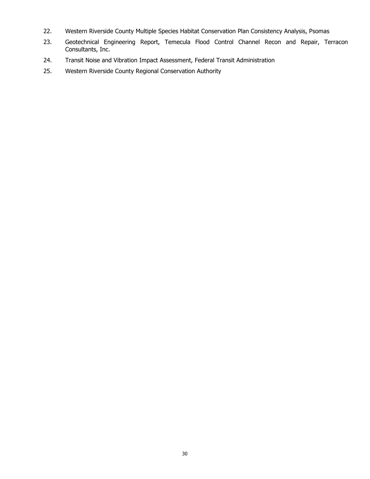- 22. Western Riverside County Multiple Species Habitat Conservation Plan Consistency Analysis, Psomas
- 23. Geotechnical Engineering Report, Temecula Flood Control Channel Recon and Repair, Terracon Consultants, Inc.
- 24. Transit Noise and Vibration Impact Assessment, Federal Transit Administration
- 25. Western Riverside County Regional Conservation Authority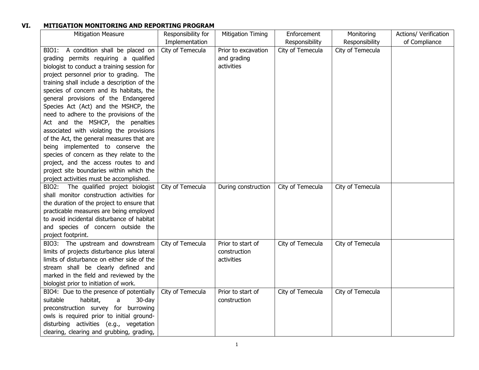### **VI. MITIGATION MONITORING AND REPORTING PROGRAM**

| <b>Mitigation Measure</b>                   | Responsibility for | <b>Mitigation Timing</b> | Enforcement      | Monitoring       | Actions/ Verification |
|---------------------------------------------|--------------------|--------------------------|------------------|------------------|-----------------------|
|                                             | Implementation     |                          | Responsibility   | Responsibility   | of Compliance         |
| BIO1: A condition shall be placed on        | City of Temecula   | Prior to excavation      | City of Temecula | City of Temecula |                       |
| grading permits requiring a qualified       |                    | and grading              |                  |                  |                       |
| biologist to conduct a training session for |                    | activities               |                  |                  |                       |
| project personnel prior to grading. The     |                    |                          |                  |                  |                       |
| training shall include a description of the |                    |                          |                  |                  |                       |
| species of concern and its habitats, the    |                    |                          |                  |                  |                       |
| general provisions of the Endangered        |                    |                          |                  |                  |                       |
| Species Act (Act) and the MSHCP, the        |                    |                          |                  |                  |                       |
| need to adhere to the provisions of the     |                    |                          |                  |                  |                       |
| Act and the MSHCP, the penalties            |                    |                          |                  |                  |                       |
| associated with violating the provisions    |                    |                          |                  |                  |                       |
| of the Act, the general measures that are   |                    |                          |                  |                  |                       |
| being implemented to conserve the           |                    |                          |                  |                  |                       |
| species of concern as they relate to the    |                    |                          |                  |                  |                       |
| project, and the access routes to and       |                    |                          |                  |                  |                       |
| project site boundaries within which the    |                    |                          |                  |                  |                       |
| project activities must be accomplished.    |                    |                          |                  |                  |                       |
| The qualified project biologist<br>BIO2:    | City of Temecula   | During construction      | City of Temecula | City of Temecula |                       |
| shall monitor construction activities for   |                    |                          |                  |                  |                       |
| the duration of the project to ensure that  |                    |                          |                  |                  |                       |
| practicable measures are being employed     |                    |                          |                  |                  |                       |
| to avoid incidental disturbance of habitat  |                    |                          |                  |                  |                       |
| and species of concern outside the          |                    |                          |                  |                  |                       |
| project footprint.                          |                    |                          |                  |                  |                       |
| BIO3: The upstream and downstream           | City of Temecula   | Prior to start of        | City of Temecula | City of Temecula |                       |
| limits of projects disturbance plus lateral |                    | construction             |                  |                  |                       |
| limits of disturbance on either side of the |                    | activities               |                  |                  |                       |
| stream shall be clearly defined and         |                    |                          |                  |                  |                       |
| marked in the field and reviewed by the     |                    |                          |                  |                  |                       |
| biologist prior to initiation of work.      |                    |                          |                  |                  |                       |
| BIO4: Due to the presence of potentially    | City of Temecula   | Prior to start of        | City of Temecula | City of Temecula |                       |
| suitable<br>habitat,<br>30-day<br>a         |                    | construction             |                  |                  |                       |
| preconstruction survey for burrowing        |                    |                          |                  |                  |                       |
| owls is required prior to initial ground-   |                    |                          |                  |                  |                       |
| disturbing activities (e.g., vegetation     |                    |                          |                  |                  |                       |
| clearing, clearing and grubbing, grading,   |                    |                          |                  |                  |                       |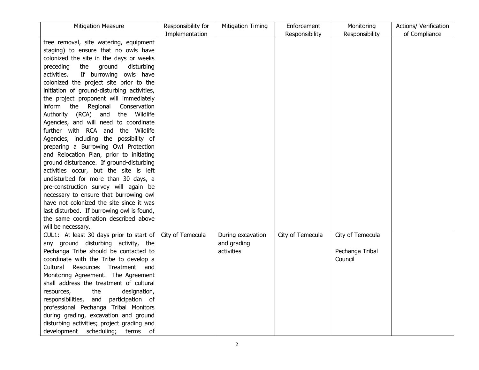| <b>Mitigation Measure</b>                   | Responsibility for | <b>Mitigation Timing</b> | Enforcement      | Monitoring       | Actions/ Verification |
|---------------------------------------------|--------------------|--------------------------|------------------|------------------|-----------------------|
|                                             | Implementation     |                          | Responsibility   | Responsibility   | of Compliance         |
| tree removal, site watering, equipment      |                    |                          |                  |                  |                       |
| staging) to ensure that no owls have        |                    |                          |                  |                  |                       |
| colonized the site in the days or weeks     |                    |                          |                  |                  |                       |
| the<br>ground<br>preceding<br>disturbing    |                    |                          |                  |                  |                       |
| If burrowing owls have<br>activities.       |                    |                          |                  |                  |                       |
| colonized the project site prior to the     |                    |                          |                  |                  |                       |
| initiation of ground-disturbing activities, |                    |                          |                  |                  |                       |
| the project proponent will immediately      |                    |                          |                  |                  |                       |
| inform the Regional<br>Conservation         |                    |                          |                  |                  |                       |
| Authority (RCA)<br>the Wildlife<br>and      |                    |                          |                  |                  |                       |
| Agencies, and will need to coordinate       |                    |                          |                  |                  |                       |
| further with RCA and the Wildlife           |                    |                          |                  |                  |                       |
| Agencies, including the possibility of      |                    |                          |                  |                  |                       |
| preparing a Burrowing Owl Protection        |                    |                          |                  |                  |                       |
| and Relocation Plan, prior to initiating    |                    |                          |                  |                  |                       |
| ground disturbance. If ground-disturbing    |                    |                          |                  |                  |                       |
| activities occur, but the site is left      |                    |                          |                  |                  |                       |
| undisturbed for more than 30 days, a        |                    |                          |                  |                  |                       |
| pre-construction survey will again be       |                    |                          |                  |                  |                       |
| necessary to ensure that burrowing owl      |                    |                          |                  |                  |                       |
| have not colonized the site since it was    |                    |                          |                  |                  |                       |
| last disturbed. If burrowing owl is found,  |                    |                          |                  |                  |                       |
| the same coordination described above       |                    |                          |                  |                  |                       |
| will be necessary.                          |                    |                          |                  |                  |                       |
| CUL1: At least 30 days prior to start of    | City of Temecula   | During excavation        | City of Temecula | City of Temecula |                       |
| any ground disturbing activity, the         |                    | and grading              |                  |                  |                       |
| Pechanga Tribe should be contacted to       |                    | activities               |                  | Pechanga Tribal  |                       |
| coordinate with the Tribe to develop a      |                    |                          |                  | Council          |                       |
| Resources Treatment and<br>Cultural         |                    |                          |                  |                  |                       |
| Monitoring Agreement. The Agreement         |                    |                          |                  |                  |                       |
| shall address the treatment of cultural     |                    |                          |                  |                  |                       |
| the<br>designation,<br>resources,           |                    |                          |                  |                  |                       |
| responsibilities, and participation of      |                    |                          |                  |                  |                       |
| professional Pechanga Tribal Monitors       |                    |                          |                  |                  |                       |
| during grading, excavation and ground       |                    |                          |                  |                  |                       |
| disturbing activities; project grading and  |                    |                          |                  |                  |                       |
| development scheduling;<br>terms of         |                    |                          |                  |                  |                       |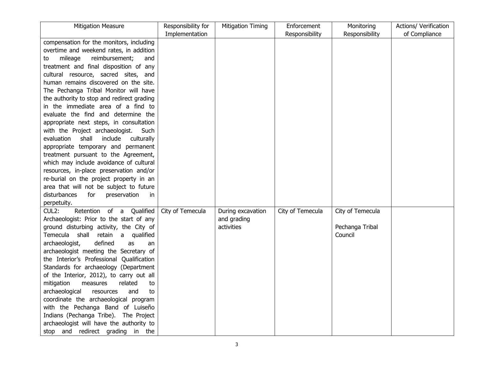| <b>Mitigation Measure</b>                    | Responsibility for | <b>Mitigation Timing</b> | Enforcement      | Monitoring       | Actions/ Verification |
|----------------------------------------------|--------------------|--------------------------|------------------|------------------|-----------------------|
|                                              | Implementation     |                          | Responsibility   | Responsibility   | of Compliance         |
| compensation for the monitors, including     |                    |                          |                  |                  |                       |
| overtime and weekend rates, in addition      |                    |                          |                  |                  |                       |
| mileage<br>reimbursement;<br>and<br>to       |                    |                          |                  |                  |                       |
| treatment and final disposition of any       |                    |                          |                  |                  |                       |
| cultural resource, sacred sites, and         |                    |                          |                  |                  |                       |
| human remains discovered on the site.        |                    |                          |                  |                  |                       |
| The Pechanga Tribal Monitor will have        |                    |                          |                  |                  |                       |
| the authority to stop and redirect grading   |                    |                          |                  |                  |                       |
| in the immediate area of a find to           |                    |                          |                  |                  |                       |
| evaluate the find and determine the          |                    |                          |                  |                  |                       |
| appropriate next steps, in consultation      |                    |                          |                  |                  |                       |
| with the Project archaeologist.<br>Such      |                    |                          |                  |                  |                       |
| evaluation<br>shall<br>include<br>culturally |                    |                          |                  |                  |                       |
| appropriate temporary and permanent          |                    |                          |                  |                  |                       |
| treatment pursuant to the Agreement,         |                    |                          |                  |                  |                       |
| which may include avoidance of cultural      |                    |                          |                  |                  |                       |
| resources, in-place preservation and/or      |                    |                          |                  |                  |                       |
| re-burial on the project property in an      |                    |                          |                  |                  |                       |
| area that will not be subject to future      |                    |                          |                  |                  |                       |
| disturbances<br>for<br>preservation<br>in.   |                    |                          |                  |                  |                       |
| perpetuity.                                  |                    |                          |                  |                  |                       |
| CUL2:<br>Retention of a Qualified            | City of Temecula   | During excavation        | City of Temecula | City of Temecula |                       |
| Archaeologist: Prior to the start of any     |                    | and grading              |                  |                  |                       |
| ground disturbing activity, the City of      |                    | activities               |                  | Pechanga Tribal  |                       |
| Temecula shall<br>retain<br>a qualified      |                    |                          |                  | Council          |                       |
| defined<br>archaeologist,<br>as<br>an        |                    |                          |                  |                  |                       |
| archaeologist meeting the Secretary of       |                    |                          |                  |                  |                       |
| the Interior's Professional Qualification    |                    |                          |                  |                  |                       |
| Standards for archaeology (Department        |                    |                          |                  |                  |                       |
| of the Interior, 2012), to carry out all     |                    |                          |                  |                  |                       |
| mitigation<br>measures<br>related<br>to      |                    |                          |                  |                  |                       |
| archaeological<br>resources<br>and<br>to     |                    |                          |                  |                  |                       |
| coordinate the archaeological program        |                    |                          |                  |                  |                       |
| with the Pechanga Band of Luiseño            |                    |                          |                  |                  |                       |
| Indians (Pechanga Tribe). The Project        |                    |                          |                  |                  |                       |
| archaeologist will have the authority to     |                    |                          |                  |                  |                       |
| stop and redirect grading in the             |                    |                          |                  |                  |                       |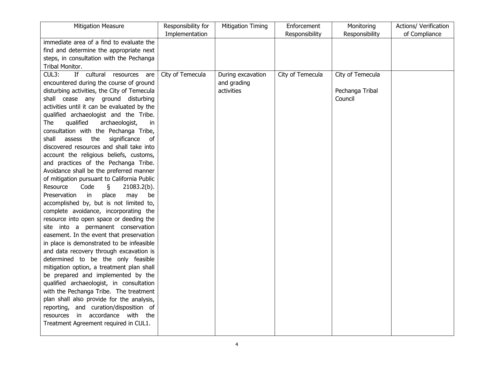| <b>Mitigation Measure</b>                    | Responsibility for | <b>Mitigation Timing</b> | Enforcement      | Monitoring       | Actions/ Verification |
|----------------------------------------------|--------------------|--------------------------|------------------|------------------|-----------------------|
|                                              | Implementation     |                          | Responsibility   | Responsibility   | of Compliance         |
| immediate area of a find to evaluate the     |                    |                          |                  |                  |                       |
| find and determine the appropriate next      |                    |                          |                  |                  |                       |
| steps, in consultation with the Pechanga     |                    |                          |                  |                  |                       |
| Tribal Monitor.                              |                    |                          |                  |                  |                       |
| CUL3:<br>If cultural resources are           | City of Temecula   | During excavation        | City of Temecula | City of Temecula |                       |
| encountered during the course of ground      |                    | and grading              |                  |                  |                       |
| disturbing activities, the City of Temecula  |                    | activities               |                  | Pechanga Tribal  |                       |
| shall cease any ground disturbing            |                    |                          |                  | Council          |                       |
| activities until it can be evaluated by the  |                    |                          |                  |                  |                       |
| qualified archaeologist and the Tribe.       |                    |                          |                  |                  |                       |
| qualified<br>The<br>archaeologist,<br>in.    |                    |                          |                  |                  |                       |
| consultation with the Pechanga Tribe,        |                    |                          |                  |                  |                       |
| significance<br>shall<br>assess<br>the<br>0f |                    |                          |                  |                  |                       |
| discovered resources and shall take into     |                    |                          |                  |                  |                       |
| account the religious beliefs, customs,      |                    |                          |                  |                  |                       |
| and practices of the Pechanga Tribe.         |                    |                          |                  |                  |                       |
| Avoidance shall be the preferred manner      |                    |                          |                  |                  |                       |
| of mitigation pursuant to California Public  |                    |                          |                  |                  |                       |
| Resource<br>Code<br>$\S$<br>$21083.2(b)$ .   |                    |                          |                  |                  |                       |
| in<br>Preservation<br>place<br>may<br>be     |                    |                          |                  |                  |                       |
| accomplished by, but is not limited to,      |                    |                          |                  |                  |                       |
| complete avoidance, incorporating the        |                    |                          |                  |                  |                       |
| resource into open space or deeding the      |                    |                          |                  |                  |                       |
| site into a permanent conservation           |                    |                          |                  |                  |                       |
| easement. In the event that preservation     |                    |                          |                  |                  |                       |
| in place is demonstrated to be infeasible    |                    |                          |                  |                  |                       |
| and data recovery through excavation is      |                    |                          |                  |                  |                       |
| determined to be the only feasible           |                    |                          |                  |                  |                       |
| mitigation option, a treatment plan shall    |                    |                          |                  |                  |                       |
| be prepared and implemented by the           |                    |                          |                  |                  |                       |
| qualified archaeologist, in consultation     |                    |                          |                  |                  |                       |
| with the Pechanga Tribe. The treatment       |                    |                          |                  |                  |                       |
| plan shall also provide for the analysis,    |                    |                          |                  |                  |                       |
| reporting, and curation/disposition of       |                    |                          |                  |                  |                       |
| resources in accordance with the             |                    |                          |                  |                  |                       |
| Treatment Agreement required in CUL1.        |                    |                          |                  |                  |                       |
|                                              |                    |                          |                  |                  |                       |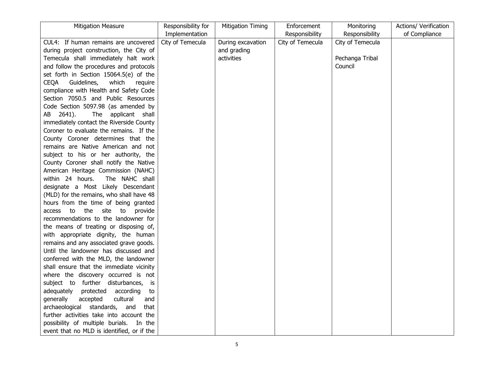| <b>Mitigation Measure</b>                      | Responsibility for | <b>Mitigation Timing</b> | Enforcement      | Monitoring       | Actions/ Verification |
|------------------------------------------------|--------------------|--------------------------|------------------|------------------|-----------------------|
|                                                | Implementation     |                          | Responsibility   | Responsibility   | of Compliance         |
| CUL4: If human remains are uncovered           | City of Temecula   | During excavation        | City of Temecula | City of Temecula |                       |
| during project construction, the City of       |                    | and grading              |                  |                  |                       |
| Temecula shall immediately halt work           |                    | activities               |                  | Pechanga Tribal  |                       |
| and follow the procedures and protocols        |                    |                          |                  | Council          |                       |
| set forth in Section 15064.5(e) of the         |                    |                          |                  |                  |                       |
| <b>CEQA</b><br>Guidelines,<br>which<br>require |                    |                          |                  |                  |                       |
| compliance with Health and Safety Code         |                    |                          |                  |                  |                       |
| Section 7050.5 and Public Resources            |                    |                          |                  |                  |                       |
| Code Section 5097.98 (as amended by            |                    |                          |                  |                  |                       |
| The applicant shall<br>AB 2641).               |                    |                          |                  |                  |                       |
| immediately contact the Riverside County       |                    |                          |                  |                  |                       |
| Coroner to evaluate the remains. If the        |                    |                          |                  |                  |                       |
| County Coroner determines that the             |                    |                          |                  |                  |                       |
| remains are Native American and not            |                    |                          |                  |                  |                       |
| subject to his or her authority, the           |                    |                          |                  |                  |                       |
| County Coroner shall notify the Native         |                    |                          |                  |                  |                       |
| American Heritage Commission (NAHC)            |                    |                          |                  |                  |                       |
| within 24 hours.<br>The NAHC shall             |                    |                          |                  |                  |                       |
| designate a Most Likely Descendant             |                    |                          |                  |                  |                       |
| (MLD) for the remains, who shall have 48       |                    |                          |                  |                  |                       |
| hours from the time of being granted           |                    |                          |                  |                  |                       |
| access to the<br>site to<br>provide            |                    |                          |                  |                  |                       |
| recommendations to the landowner for           |                    |                          |                  |                  |                       |
| the means of treating or disposing of,         |                    |                          |                  |                  |                       |
| with appropriate dignity, the human            |                    |                          |                  |                  |                       |
| remains and any associated grave goods.        |                    |                          |                  |                  |                       |
| Until the landowner has discussed and          |                    |                          |                  |                  |                       |
| conferred with the MLD, the landowner          |                    |                          |                  |                  |                       |
| shall ensure that the immediate vicinity       |                    |                          |                  |                  |                       |
| where the discovery occurred is not            |                    |                          |                  |                  |                       |
| subject to further disturbances, is            |                    |                          |                  |                  |                       |
| adequately protected<br>according<br>to        |                    |                          |                  |                  |                       |
| generally<br>accepted<br>cultural<br>and       |                    |                          |                  |                  |                       |
| archaeological standards,<br>and<br>that       |                    |                          |                  |                  |                       |
| further activities take into account the       |                    |                          |                  |                  |                       |
| possibility of multiple burials. In the        |                    |                          |                  |                  |                       |
| event that no MLD is identified, or if the     |                    |                          |                  |                  |                       |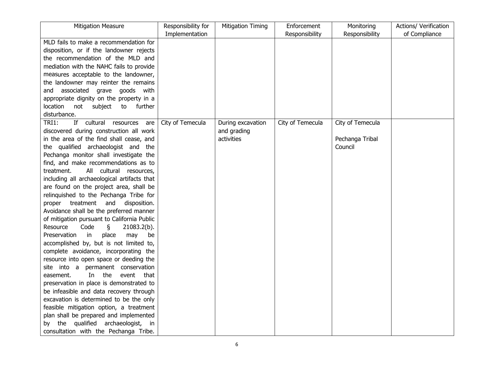| <b>Mitigation Measure</b>                    | Responsibility for | <b>Mitigation Timing</b> | Enforcement      | Monitoring       | Actions/ Verification |
|----------------------------------------------|--------------------|--------------------------|------------------|------------------|-----------------------|
|                                              | Implementation     |                          | Responsibility   | Responsibility   | of Compliance         |
| MLD fails to make a recommendation for       |                    |                          |                  |                  |                       |
| disposition, or if the landowner rejects     |                    |                          |                  |                  |                       |
| the recommendation of the MLD and            |                    |                          |                  |                  |                       |
| mediation with the NAHC fails to provide     |                    |                          |                  |                  |                       |
| measures acceptable to the landowner,        |                    |                          |                  |                  |                       |
| the landowner may reinter the remains        |                    |                          |                  |                  |                       |
| and associated grave goods with              |                    |                          |                  |                  |                       |
| appropriate dignity on the property in a     |                    |                          |                  |                  |                       |
| location<br>subject<br>not<br>to<br>further  |                    |                          |                  |                  |                       |
| disturbance.                                 |                    |                          |                  |                  |                       |
| If cultural resources<br><b>TRI1:</b><br>are | City of Temecula   | During excavation        | City of Temecula | City of Temecula |                       |
| discovered during construction all work      |                    | and grading              |                  |                  |                       |
| in the area of the find shall cease, and     |                    | activities               |                  | Pechanga Tribal  |                       |
| the qualified archaeologist and the          |                    |                          |                  | Council          |                       |
| Pechanga monitor shall investigate the       |                    |                          |                  |                  |                       |
| find, and make recommendations as to         |                    |                          |                  |                  |                       |
| All cultural resources,<br>treatment.        |                    |                          |                  |                  |                       |
| including all archaeological artifacts that  |                    |                          |                  |                  |                       |
| are found on the project area, shall be      |                    |                          |                  |                  |                       |
| relinquished to the Pechanga Tribe for       |                    |                          |                  |                  |                       |
| proper treatment and<br>disposition.         |                    |                          |                  |                  |                       |
| Avoidance shall be the preferred manner      |                    |                          |                  |                  |                       |
| of mitigation pursuant to California Public  |                    |                          |                  |                  |                       |
| Resource<br>Code<br>21083.2(b).<br>ş         |                    |                          |                  |                  |                       |
| Preservation<br>in<br>place<br>may<br>be     |                    |                          |                  |                  |                       |
| accomplished by, but is not limited to,      |                    |                          |                  |                  |                       |
| complete avoidance, incorporating the        |                    |                          |                  |                  |                       |
| resource into open space or deeding the      |                    |                          |                  |                  |                       |
| site into a permanent conservation           |                    |                          |                  |                  |                       |
| In the<br>event that<br>easement.            |                    |                          |                  |                  |                       |
| preservation in place is demonstrated to     |                    |                          |                  |                  |                       |
| be infeasible and data recovery through      |                    |                          |                  |                  |                       |
| excavation is determined to be the only      |                    |                          |                  |                  |                       |
| feasible mitigation option, a treatment      |                    |                          |                  |                  |                       |
| plan shall be prepared and implemented       |                    |                          |                  |                  |                       |
| the qualified archaeologist,<br>by<br>in     |                    |                          |                  |                  |                       |
| consultation with the Pechanga Tribe.        |                    |                          |                  |                  |                       |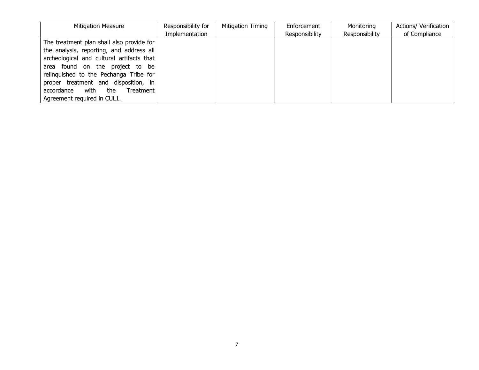| <b>Mitigation Measure</b>                 | Responsibility for | <b>Mitigation Timing</b> | Enforcement    | Monitoring     | Actions/ Verification |
|-------------------------------------------|--------------------|--------------------------|----------------|----------------|-----------------------|
|                                           | Implementation     |                          | Responsibility | Responsibility | of Compliance         |
| The treatment plan shall also provide for |                    |                          |                |                |                       |
| the analysis, reporting, and address all  |                    |                          |                |                |                       |
| archeological and cultural artifacts that |                    |                          |                |                |                       |
| area found on the project to be           |                    |                          |                |                |                       |
| relinquished to the Pechanga Tribe for    |                    |                          |                |                |                       |
| proper treatment and disposition, in      |                    |                          |                |                |                       |
| with the<br>accordance<br>Treatment       |                    |                          |                |                |                       |
| Agreement required in CUL1.               |                    |                          |                |                |                       |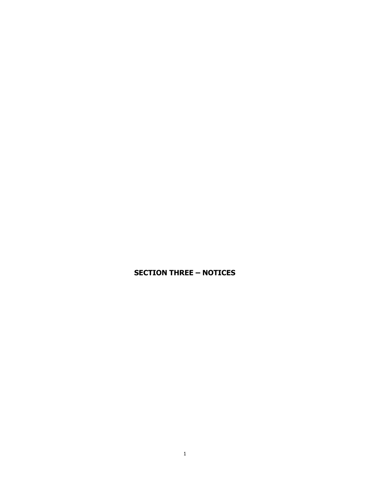**SECTION THREE – NOTICES**